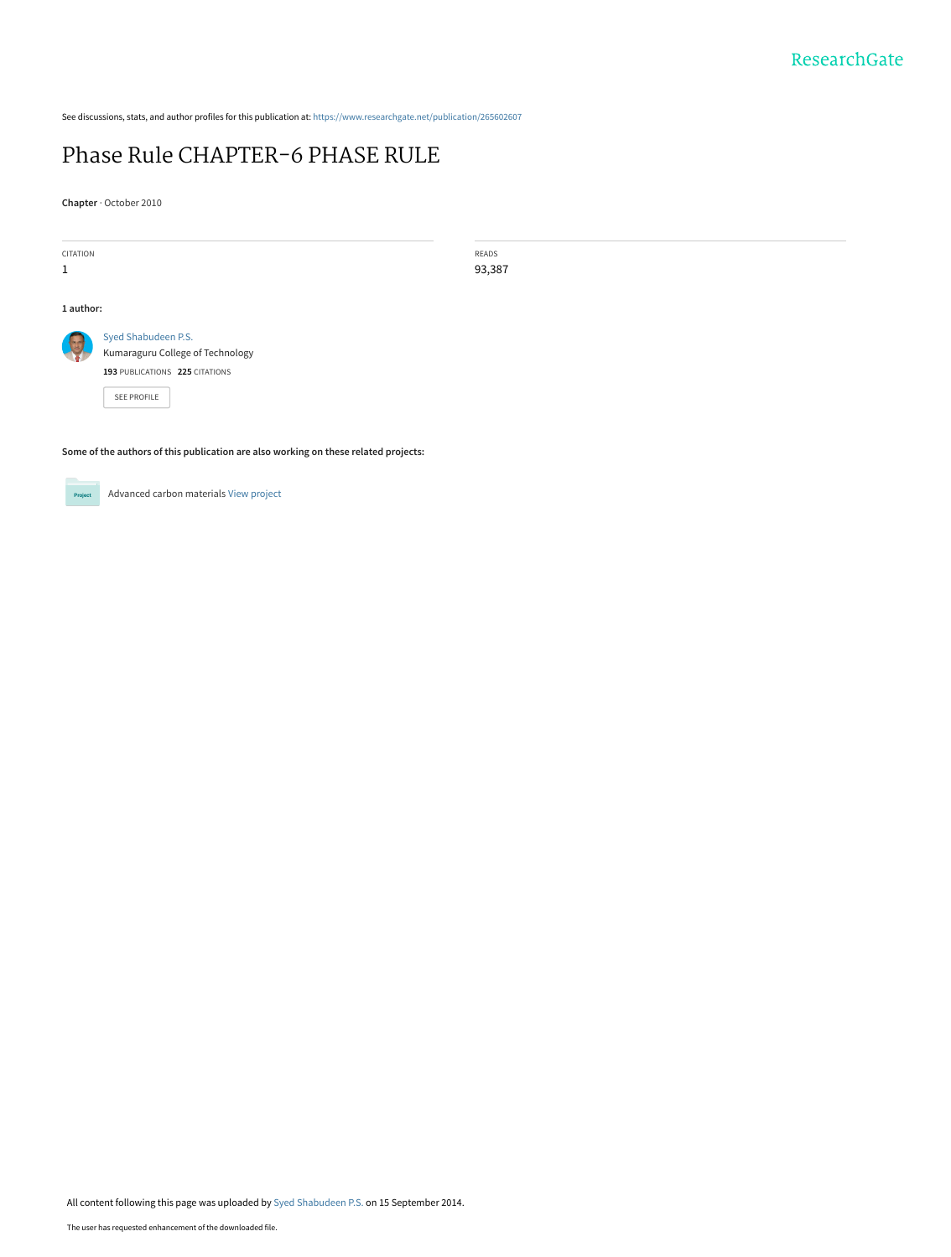See discussions, stats, and author profiles for this publication at: [https://www.researchgate.net/publication/265602607](https://www.researchgate.net/publication/265602607_Phase_Rule_CHAPTER-6_PHASE_RULE?enrichId=rgreq-ef3c0f41287c8ca53a4b8ad7b3c7fc98-XXX&enrichSource=Y292ZXJQYWdlOzI2NTYwMjYwNztBUzoxNDE1MjEzOTUzOTI1MTJAMTQxMDc1MjczODkzMg%3D%3D&el=1_x_2&_esc=publicationCoverPdf)

# [Phase Rule CHAPTER-6 PHASE RULE](https://www.researchgate.net/publication/265602607_Phase_Rule_CHAPTER-6_PHASE_RULE?enrichId=rgreq-ef3c0f41287c8ca53a4b8ad7b3c7fc98-XXX&enrichSource=Y292ZXJQYWdlOzI2NTYwMjYwNztBUzoxNDE1MjEzOTUzOTI1MTJAMTQxMDc1MjczODkzMg%3D%3D&el=1_x_3&_esc=publicationCoverPdf)

**Chapter** · October 2010

| CITATION<br>1                                                                       |                                                                                                          | READS<br>93,387 |
|-------------------------------------------------------------------------------------|----------------------------------------------------------------------------------------------------------|-----------------|
| 1 author:                                                                           |                                                                                                          |                 |
|                                                                                     | Syed Shabudeen P.S.<br>Kumaraguru College of Technology<br>193 PUBLICATIONS 225 CITATIONS<br>SEE PROFILE |                 |
| Some of the authors of this publication are also working on these related projects: |                                                                                                          |                 |



Advanced carbon materials [View project](https://www.researchgate.net/project/Advanced-carbon-materials?enrichId=rgreq-ef3c0f41287c8ca53a4b8ad7b3c7fc98-XXX&enrichSource=Y292ZXJQYWdlOzI2NTYwMjYwNztBUzoxNDE1MjEzOTUzOTI1MTJAMTQxMDc1MjczODkzMg%3D%3D&el=1_x_9&_esc=publicationCoverPdf)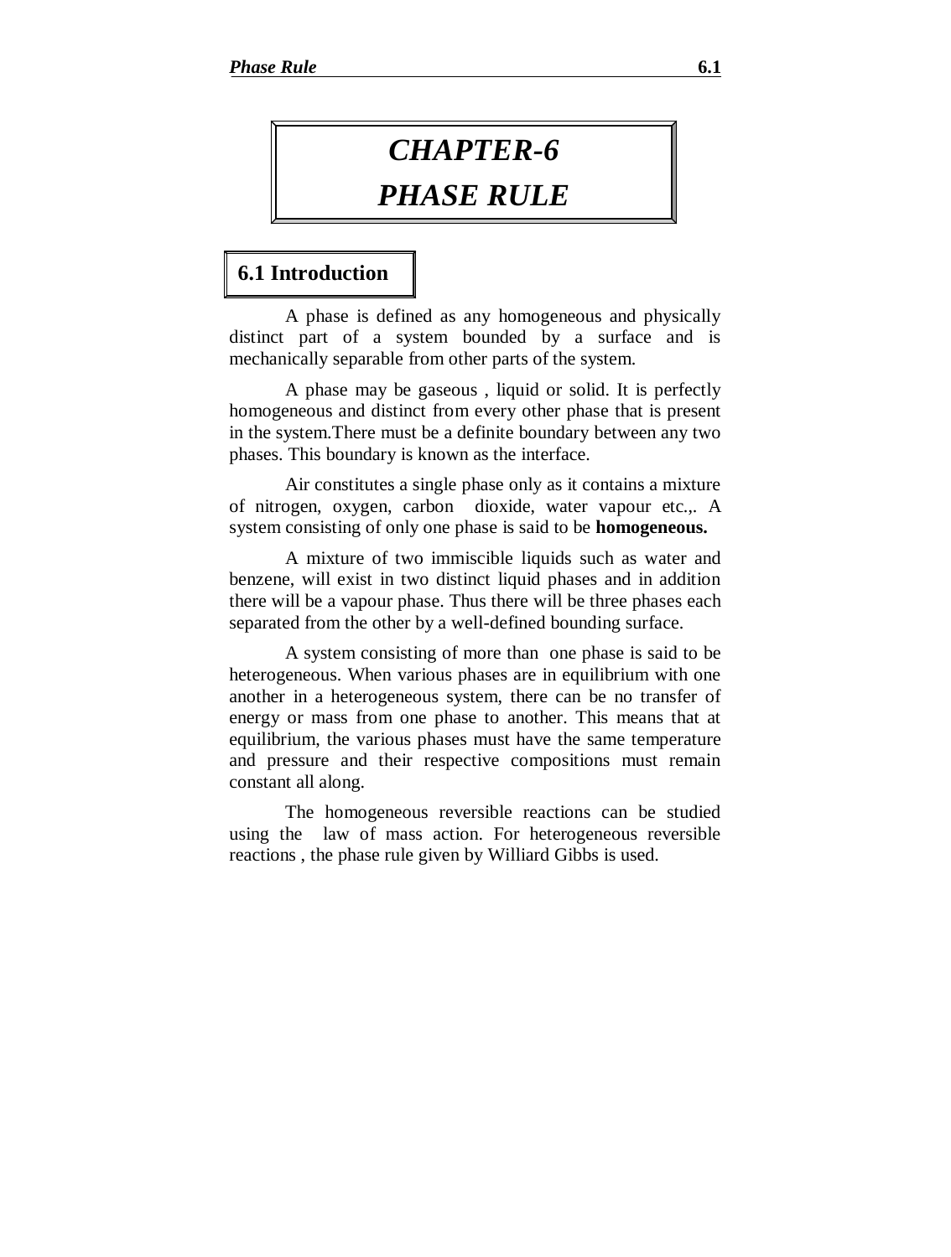# *CHAPTER-6*

# *PHASE RULE*

# **6.1 Introduction**

A phase is defined as any homogeneous and physically distinct part of a system bounded by a surface and is mechanically separable from other parts of the system.

A phase may be gaseous , liquid or solid. It is perfectly homogeneous and distinct from every other phase that is present in the system.There must be a definite boundary between any two phases. This boundary is known as the interface.

Air constitutes a single phase only as it contains a mixture of nitrogen, oxygen, carbon dioxide, water vapour etc.,. A system consisting of only one phase is said to be **homogeneous.**

A mixture of two immiscible liquids such as water and benzene, will exist in two distinct liquid phases and in addition there will be a vapour phase. Thus there will be three phases each separated from the other by a well-defined bounding surface.

A system consisting of more than one phase is said to be heterogeneous. When various phases are in equilibrium with one another in a heterogeneous system, there can be no transfer of energy or mass from one phase to another. This means that at equilibrium, the various phases must have the same temperature and pressure and their respective compositions must remain constant all along.

The homogeneous reversible reactions can be studied using the law of mass action. For heterogeneous reversible reactions , the phase rule given by Williard Gibbs is used.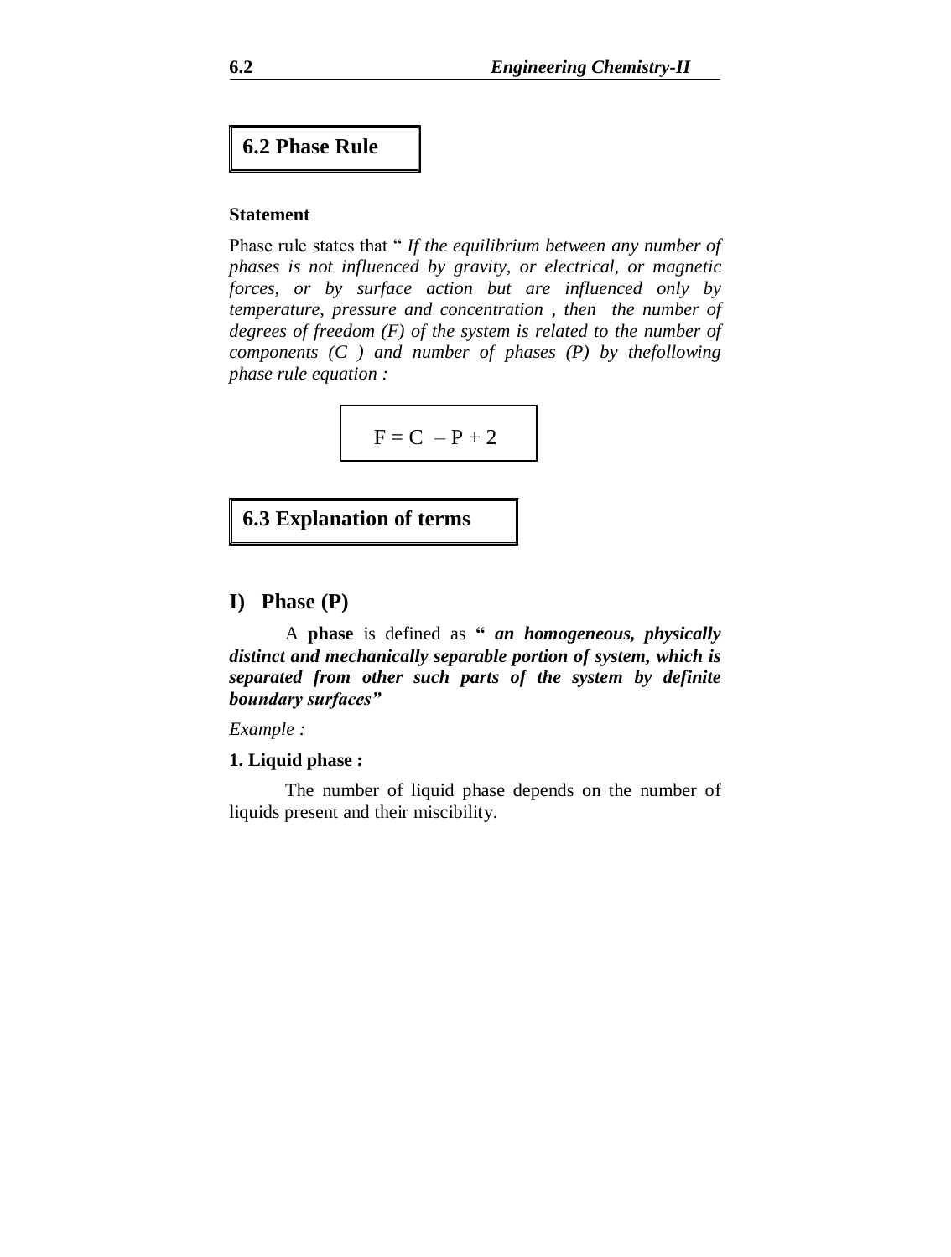# **6.2 Phase Rule**

#### **Statement**

Phase rule states that " *If the equilibrium between any number of phases is not influenced by gravity, or electrical, or magnetic forces, or by surface action but are influenced only by temperature, pressure and concentration , then the number of degrees of freedom (F) of the system is related to the number of components (C ) and number of phases (P) by thefollowing phase rule equation :*

$$
F = C - P + 2
$$

# **6.3 Explanation of terms**

# **I) Phase (P)**

A **phase** is defined as **"** *an homogeneous, physically distinct and mechanically separable portion of system, which is separated from other such parts of the system by definite boundary surfaces"*

*Example :*

#### **1. Liquid phase :**

The number of liquid phase depends on the number of liquids present and their miscibility.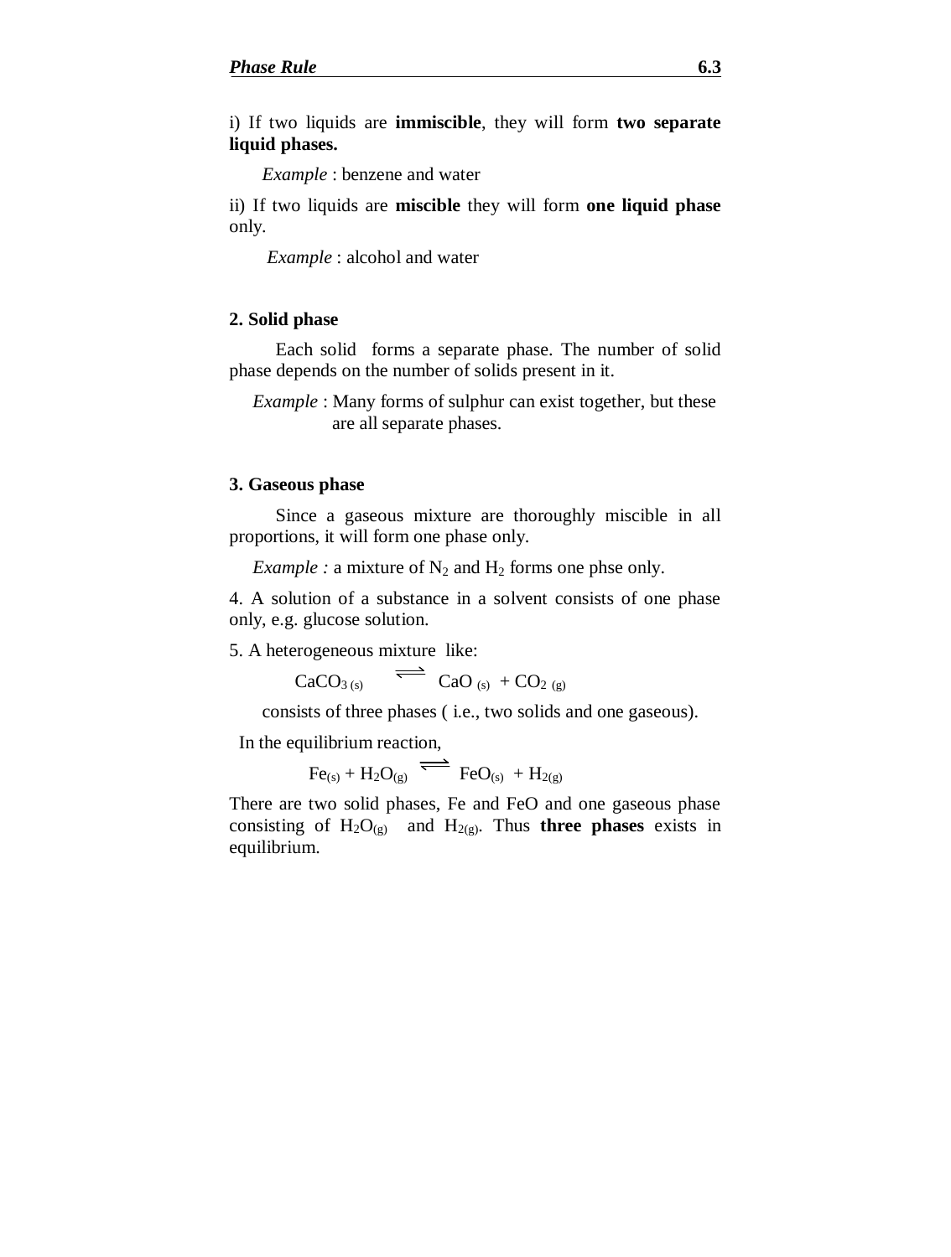i) If two liquids are **immiscible**, they will form **two separate liquid phases.**

 *Example* : benzene and water

ii) If two liquids are **miscible** they will form **one liquid phase** only.

 *Example* : alcohol and water

### **2. Solid phase**

 Each solid forms a separate phase. The number of solid phase depends on the number of solids present in it.

*Example* : Many forms of sulphur can exist together, but these are all separate phases.

#### **3. Gaseous phase**

Since a gaseous mixture are thoroughly miscible in all proportions, it will form one phase only.

*Example :* a mixture of  $N_2$  and  $H_2$  forms one phse only.

4. A solution of a substance in a solvent consists of one phase only, e.g. glucose solution.

5. A heterogeneous mixture like:

 $CaCO<sub>3 (s)</sub>$   $\qquad \qquad$  CaO <sub>(s)</sub> + CO<sub>2 (g)</sub>

consists of three phases ( i.e., two solids and one gaseous).

In the equilibrium reaction,

$$
Fe_{(s)} + H_2O_{(g)} \xrightarrow{\longleftarrow} FeO_{(s)} + H_{2(g)}
$$

There are two solid phases, Fe and FeO and one gaseous phase consisting of  $H_2O_{(g)}$  and  $H_{2(g)}$ . Thus **three phases** exists in equilibrium.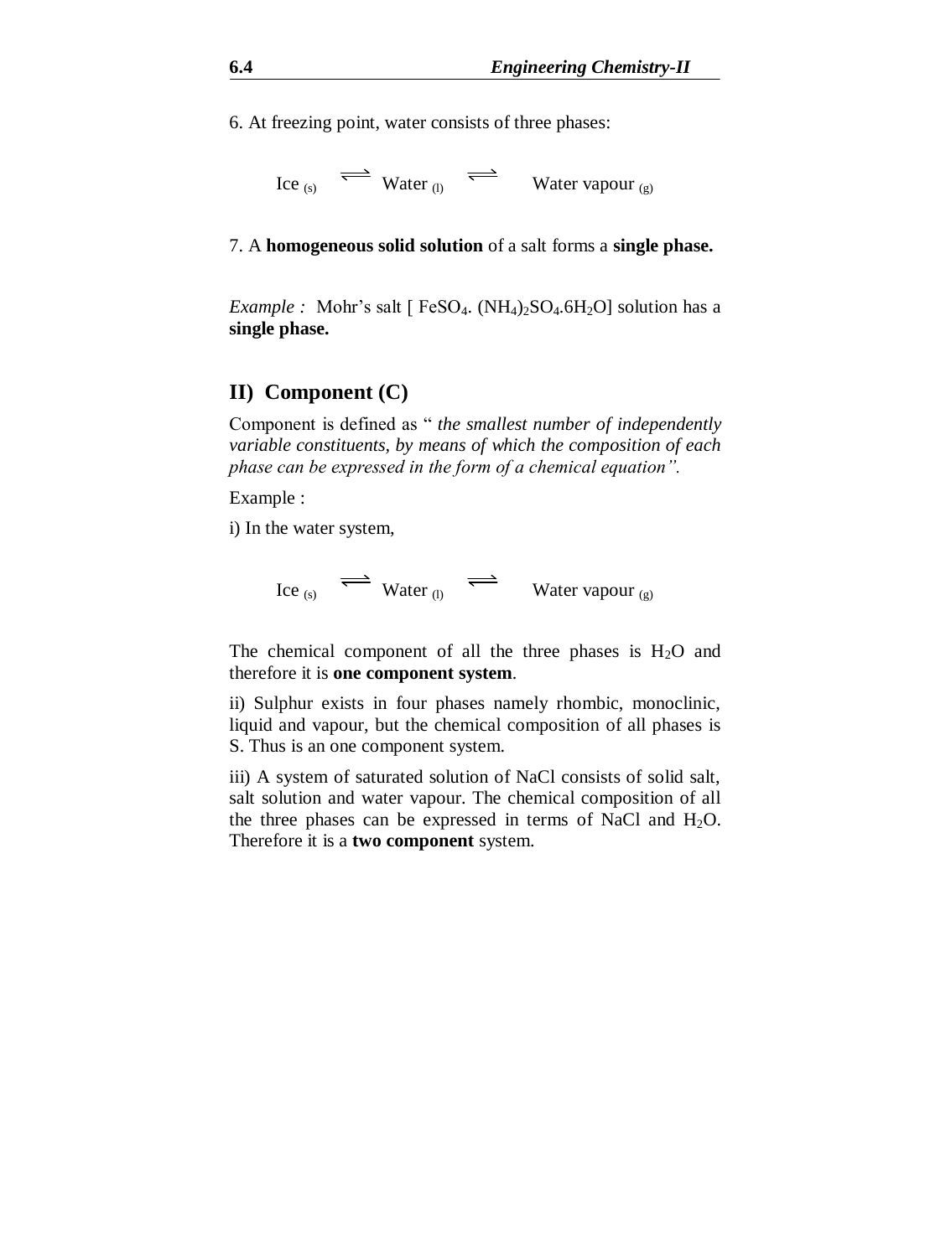6. At freezing point, water consists of three phases:

$$
\text{Ice}_{(s)} \quad \Longleftrightarrow \quad \text{Water}_{(l)} \quad \Longleftrightarrow \quad \text{Water vapour}_{(g)}
$$

7. A **homogeneous solid solution** of a salt forms a **single phase.**

*Example :* Mohr's salt  $\lceil$  FeSO<sub>4</sub>. (NH<sub>4</sub>)<sub>2</sub>SO<sub>4</sub>.6H<sub>2</sub>O] solution has a **single phase.**

# **II) Component (C)**

Component is defined as " *the smallest number of independently variable constituents, by means of which the composition of each phase can be expressed in the form of a chemical equation".*

Example :

i) In the water system,

Ice (s)  $\iff$  Water (l)  $\iff$  Water vapour (g)

The chemical component of all the three phases is  $H_2O$  and therefore it is **one component system**.

ii) Sulphur exists in four phases namely rhombic, monoclinic, liquid and vapour, but the chemical composition of all phases is S. Thus is an one component system.

iii) A system of saturated solution of NaCl consists of solid salt, salt solution and water vapour. The chemical composition of all the three phases can be expressed in terms of NaCl and  $H_2O$ . Therefore it is a **two component** system.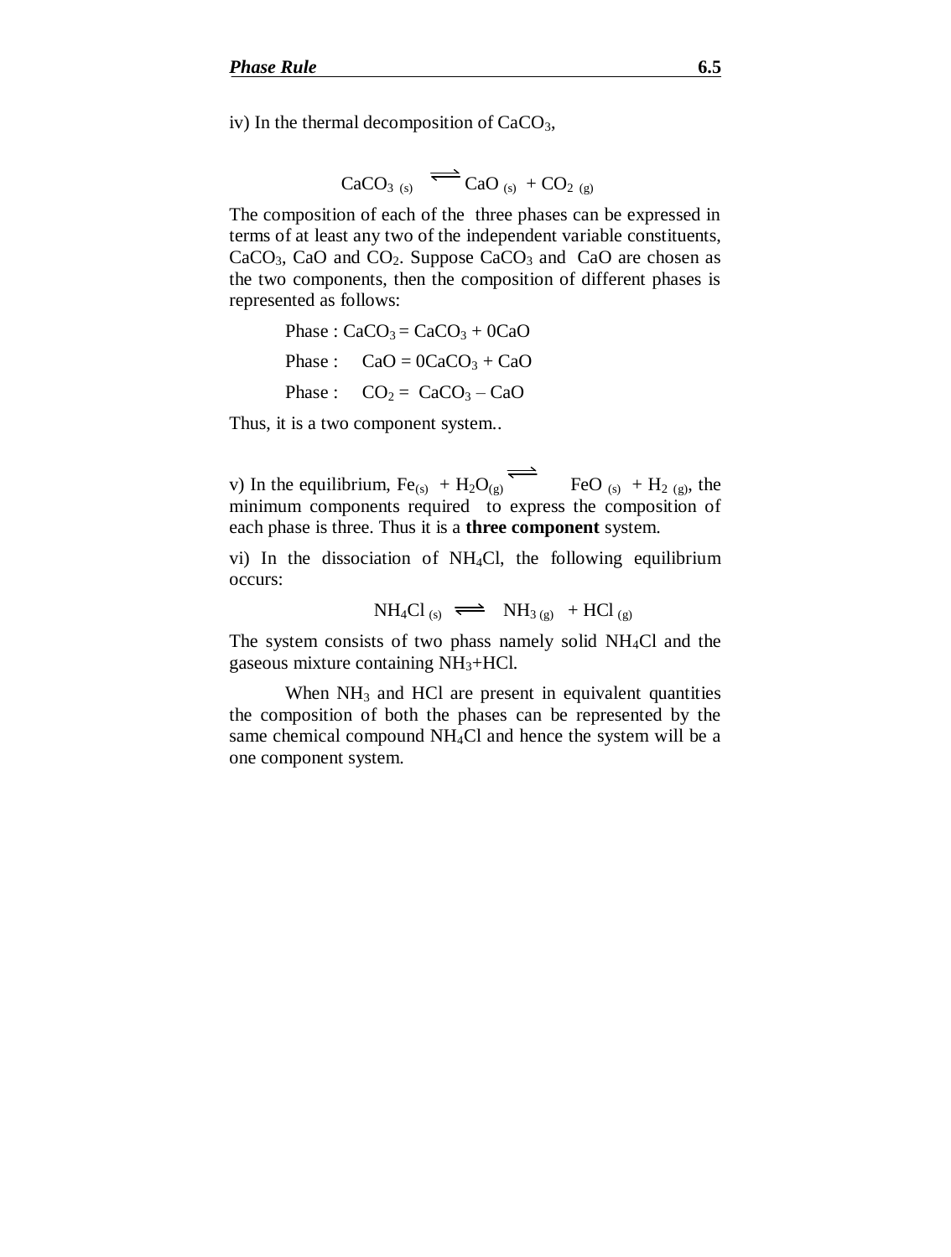iv) In the thermal decomposition of  $CaCO<sub>3</sub>$ ,

$$
CaCO3 (s) \overline{CaO(s) + CO2 (g)}
$$

The composition of each of the three phases can be expressed in terms of at least any two of the independent variable constituents,  $CaCO<sub>3</sub>$ , CaO and CO<sub>2</sub>. Suppose CaCO<sub>3</sub> and CaO are chosen as the two components, then the composition of different phases is represented as follows:

Phase : 
$$
CaCO_3 = CaCO_3 + 0CaO
$$
  
Phase :  $CaO = 0CaCO_3 + CaO$   
Phase :  $CO_2 = CaCO_3 - CaO$ 

Thus, it is a two component system..

v) In the equilibrium,  $Fe_{(s)} + H_2O_{(g)}$  FeO  $_{(s)} + H_2$   $_{(g)}$ , the minimum components required to express the composition of each phase is three. Thus it is a **three component** system.

vi) In the dissociation of NH4Cl, the following equilibrium occurs:

NH<sub>4</sub>Cl<sub>(s)</sub> 
$$
\implies
$$
 NH<sub>3(g)</sub> + HCl<sub>(g)</sub>

The system consists of two phass namely solid  $NH<sub>4</sub>Cl$  and the gaseous mixture containing  $NH<sub>3</sub>+HCl.$ 

When  $NH<sub>3</sub>$  and HCl are present in equivalent quantities the composition of both the phases can be represented by the same chemical compound NH4Cl and hence the system will be a one component system.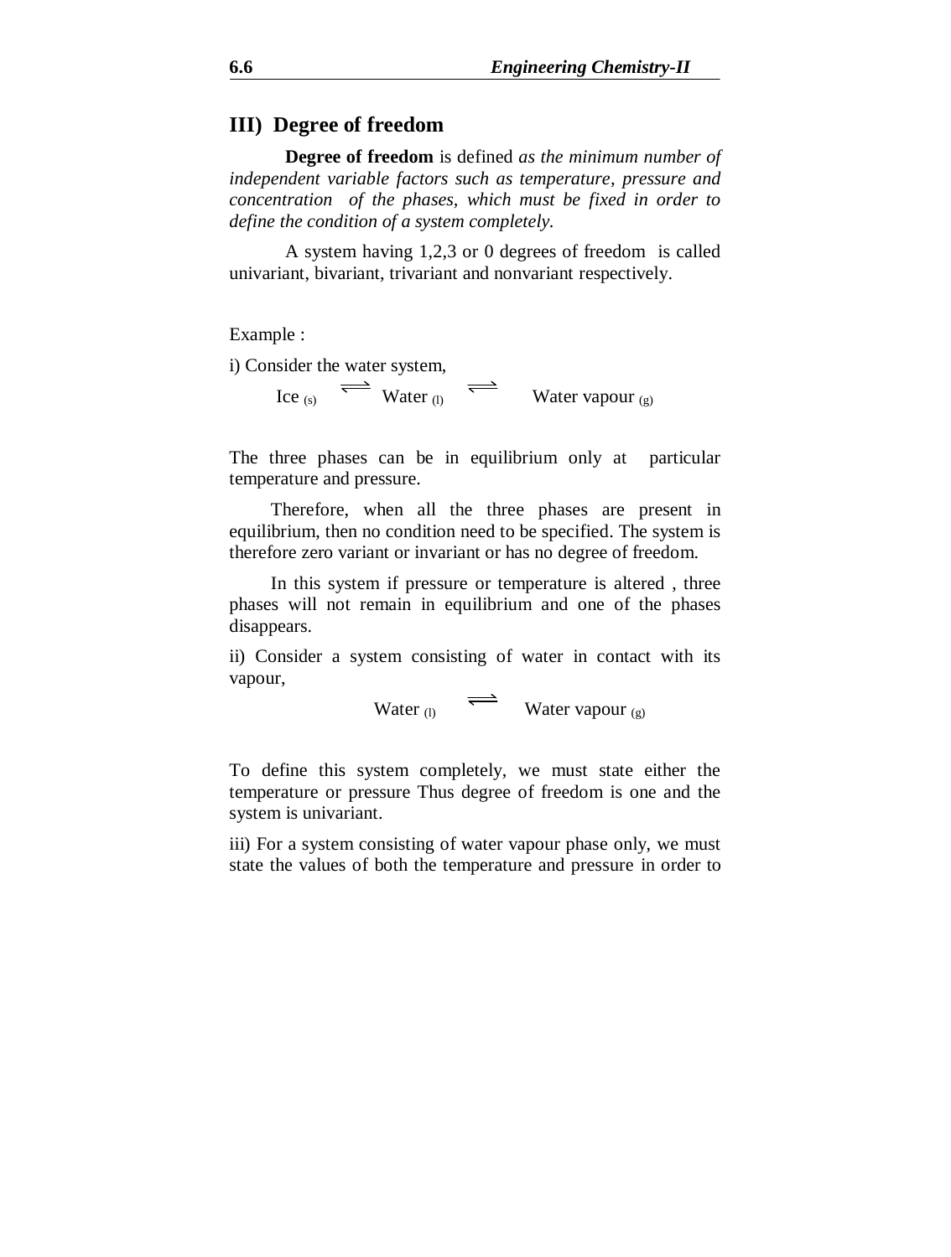# **III) Degree of freedom**

**Degree of freedom** is defined *as the minimum number of independent variable factors such as temperature, pressure and concentration of the phases, which must be fixed in order to define the condition of a system completely.*

A system having 1,2,3 or 0 degrees of freedom is called univariant, bivariant, trivariant and nonvariant respectively.

Example :

i) Consider the water system,

Ice (s)  $\implies$  Water (l)  $\implies$  Water vapour (g)

The three phases can be in equilibrium only at particular temperature and pressure.

 Therefore, when all the three phases are present in equilibrium, then no condition need to be specified. The system is therefore zero variant or invariant or has no degree of freedom.

 In this system if pressure or temperature is altered , three phases will not remain in equilibrium and one of the phases disappears.

ii) Consider a system consisting of water in contact with its vapour,

Water  $_{(l)} \quad \rightleftharpoons \quad$  Water vapour  $_{(g)}$ 

To define this system completely, we must state either the temperature or pressure Thus degree of freedom is one and the system is univariant.

iii) For a system consisting of water vapour phase only, we must state the values of both the temperature and pressure in order to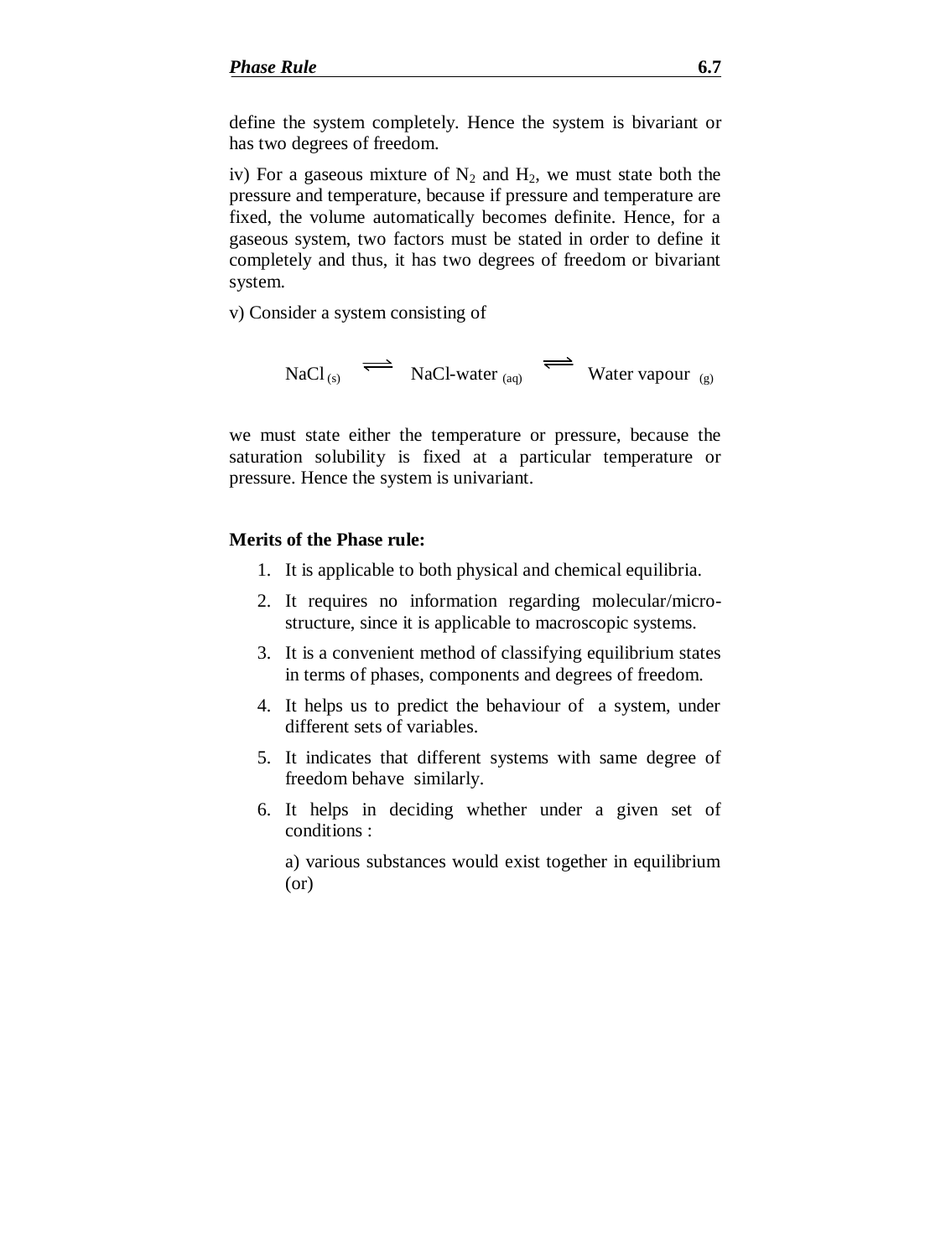define the system completely. Hence the system is bivariant or has two degrees of freedom.

iv) For a gaseous mixture of  $N_2$  and  $H_2$ , we must state both the pressure and temperature, because if pressure and temperature are fixed, the volume automatically becomes definite. Hence, for a gaseous system, two factors must be stated in order to define it completely and thus, it has two degrees of freedom or bivariant system.

v) Consider a system consisting of

 $NaCl_{(s)} \implies NaCl\text{-water}_{(aq)} \implies W\text{ater vapour}_{(g)}$ 

we must state either the temperature or pressure, because the saturation solubility is fixed at a particular temperature or pressure. Hence the system is univariant.

### **Merits of the Phase rule:**

- 1. It is applicable to both physical and chemical equilibria.
- 2. It requires no information regarding molecular/microstructure, since it is applicable to macroscopic systems.
- 3. It is a convenient method of classifying equilibrium states in terms of phases, components and degrees of freedom.
- 4. It helps us to predict the behaviour of a system, under different sets of variables.
- 5. It indicates that different systems with same degree of freedom behave similarly.
- 6. It helps in deciding whether under a given set of conditions :

a) various substances would exist together in equilibrium (or)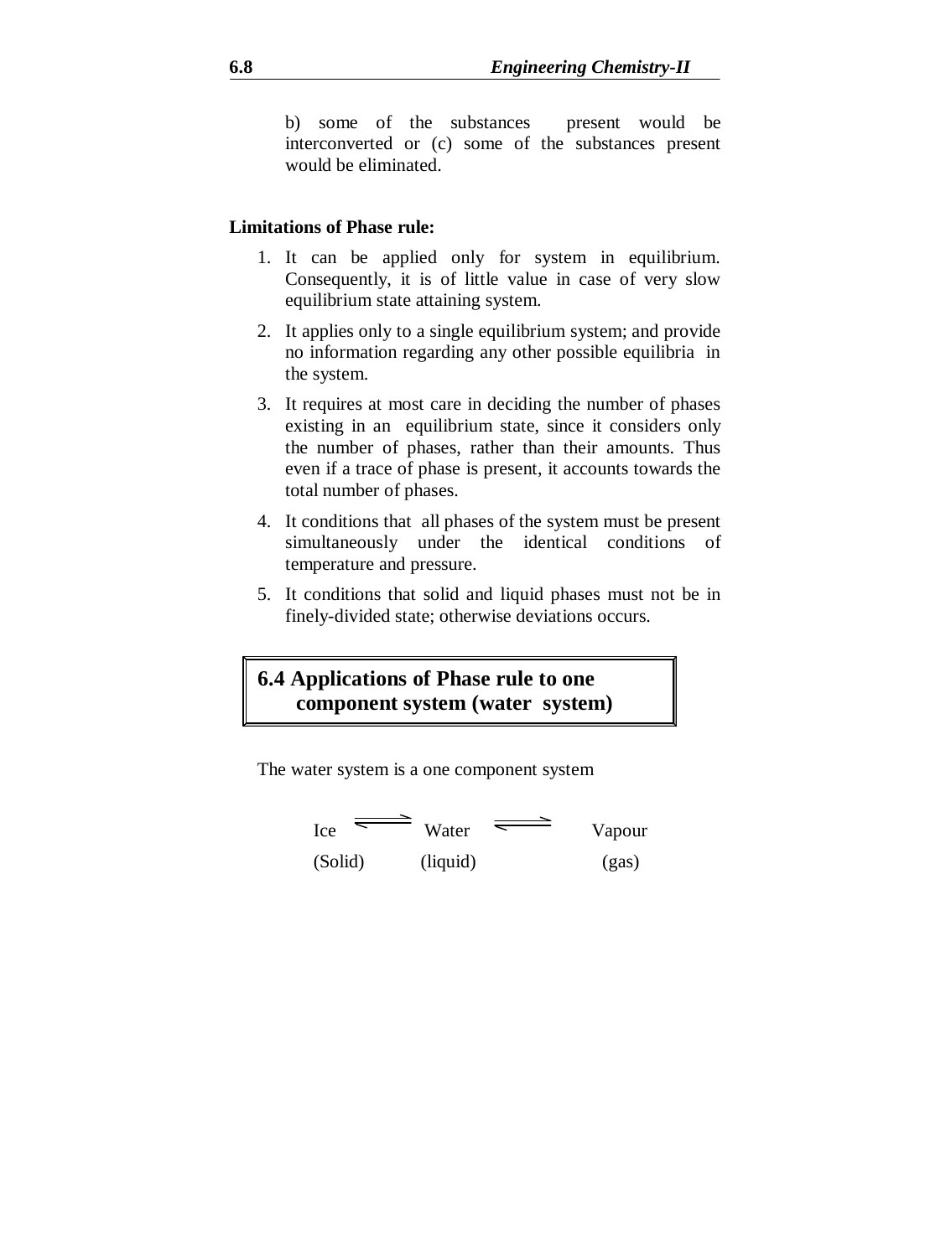b) some of the substances present would be interconverted or (c) some of the substances present would be eliminated.

### **Limitations of Phase rule:**

- 1. It can be applied only for system in equilibrium. Consequently, it is of little value in case of very slow equilibrium state attaining system.
- 2. It applies only to a single equilibrium system; and provide no information regarding any other possible equilibria in the system.
- 3. It requires at most care in deciding the number of phases existing in an equilibrium state, since it considers only the number of phases, rather than their amounts. Thus even if a trace of phase is present, it accounts towards the total number of phases.
- 4. It conditions that all phases of the system must be present simultaneously under the identical conditions of temperature and pressure.
- 5. It conditions that solid and liquid phases must not be in finely-divided state; otherwise deviations occurs.

# **6.4 Applications of Phase rule to one component system (water system)**

The water system is a one component system

$$
I_{\text{ce}} \equiv \text{Water} \equiv \text{Vapour}
$$

(Solid) (liquid) (gas)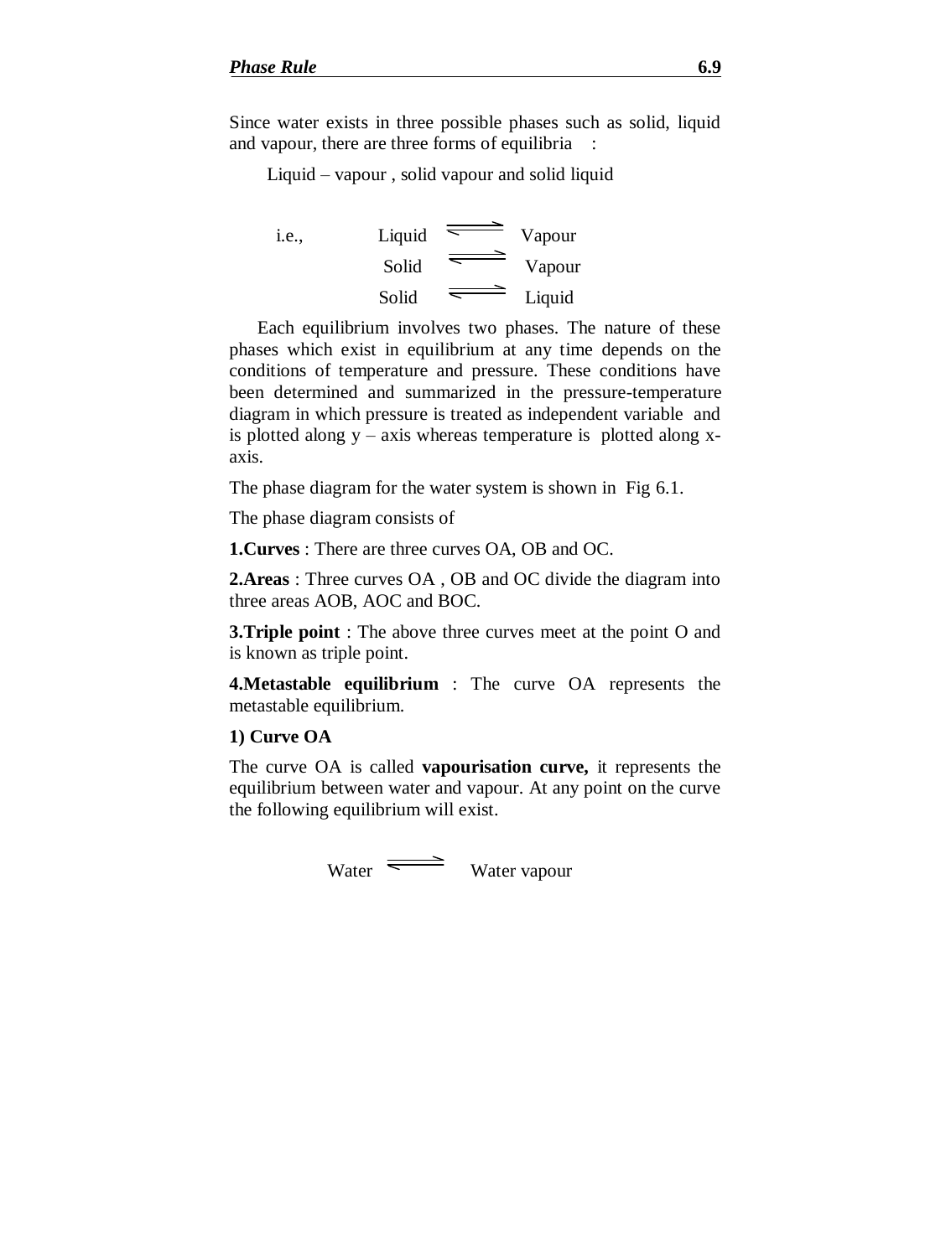Since water exists in three possible phases such as solid, liquid and vapour, there are three forms of equilibria :

Liquid – vapour , solid vapour and solid liquid

i.e.,  $Liquid \equiv \text{Vapour}$ Solid Vapour Solid  $\overline{\phantom{a}}$  Liquid

Each equilibrium involves two phases. The nature of these phases which exist in equilibrium at any time depends on the conditions of temperature and pressure. These conditions have been determined and summarized in the pressure-temperature diagram in which pressure is treated as independent variable and is plotted along  $y - axis$  whereas temperature is plotted along xaxis.

The phase diagram for the water system is shown in Fig 6.1.

The phase diagram consists of

**1.Curves** : There are three curves OA, OB and OC.

**2.Areas** : Three curves OA , OB and OC divide the diagram into three areas AOB, AOC and BOC.

**3.Triple point** : The above three curves meet at the point O and is known as triple point.

**4.Metastable equilibrium** : The curve OA represents the metastable equilibrium.

### **1) Curve OA**

The curve OA is called **vapourisation curve,** it represents the equilibrium between water and vapour. At any point on the curve the following equilibrium will exist.

Water Water vapour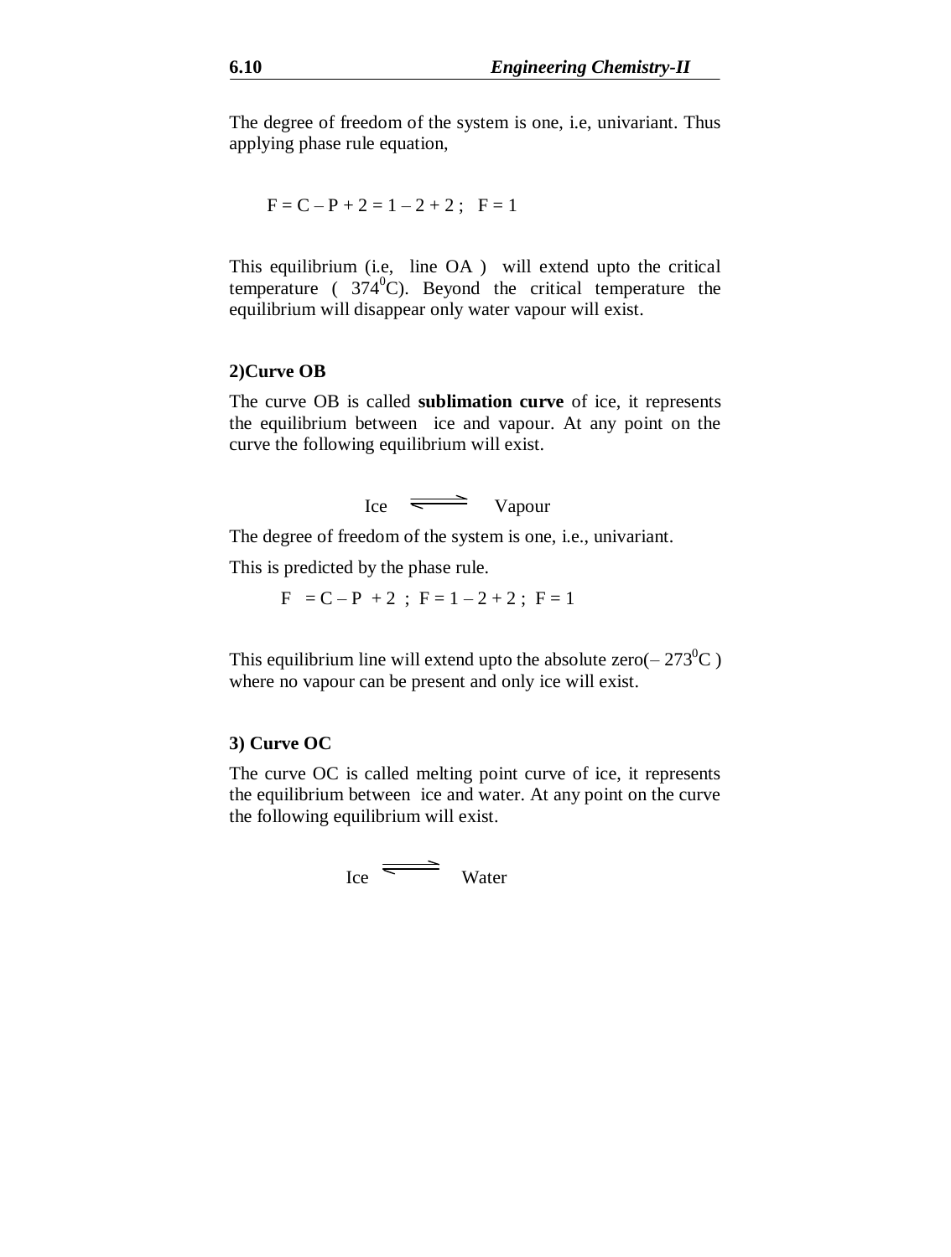The degree of freedom of the system is one, i.e, univariant. Thus applying phase rule equation,

$$
F = C - P + 2 = 1 - 2 + 2; F = 1
$$

This equilibrium (i.e, line OA ) will extend upto the critical temperature ( $374^{\circ}$ C). Beyond the critical temperature the equilibrium will disappear only water vapour will exist.

### **2)Curve OB**

The curve OB is called **sublimation curve** of ice, it represents the equilibrium between ice and vapour. At any point on the curve the following equilibrium will exist.



The degree of freedom of the system is one, i.e., univariant.

This is predicted by the phase rule.

 $F = C - P + 2$ ;  $F = 1 - 2 + 2$ ;  $F = 1$ 

This equilibrium line will extend upto the absolute zero( $-273^{\circ}$ C) where no vapour can be present and only ice will exist.

### **3) Curve OC**

The curve OC is called melting point curve of ice, it represents the equilibrium between ice and water. At any point on the curve the following equilibrium will exist.

$$
I_{\text{ce}} \equiv \text{Water}
$$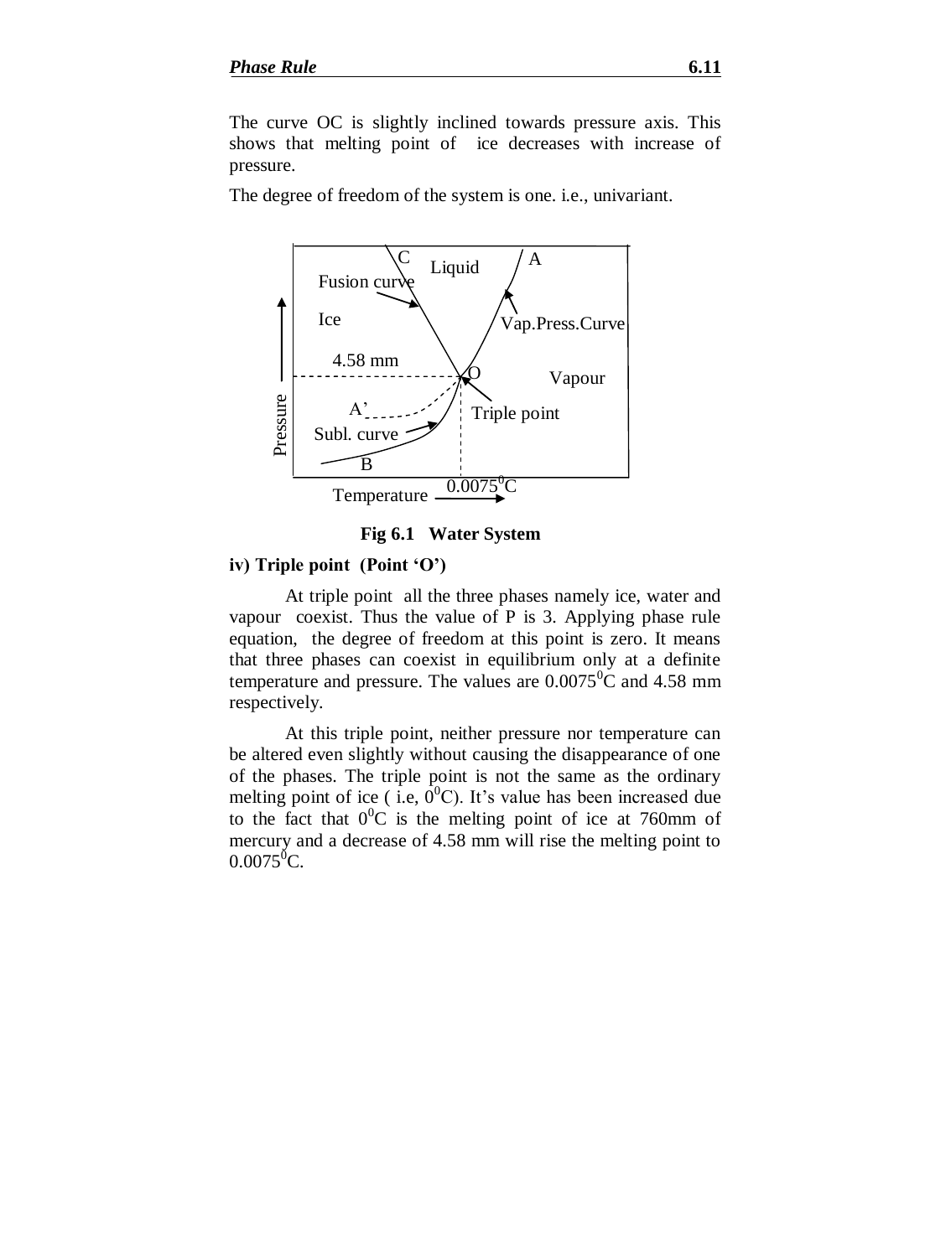The curve OC is slightly inclined towards pressure axis. This shows that melting point of ice decreases with increase of pressure.

The degree of freedom of the system is one. i.e., univariant.





### **iv) Triple point (Point 'O')**

At triple point all the three phases namely ice, water and vapour coexist. Thus the value of P is 3. Applying phase rule equation, the degree of freedom at this point is zero. It means that three phases can coexist in equilibrium only at a definite temperature and pressure. The values are  $0.0075^{\circ}$ C and 4.58 mm respectively.

At this triple point, neither pressure nor temperature can be altered even slightly without causing the disappearance of one of the phases. The triple point is not the same as the ordinary melting point of ice ( i.e,  $0^0$ C). It's value has been increased due to the fact that  $0^0C$  is the melting point of ice at 760mm of mercury and a decrease of 4.58 mm will rise the melting point to  $0.0075$ <sup>o</sup>C.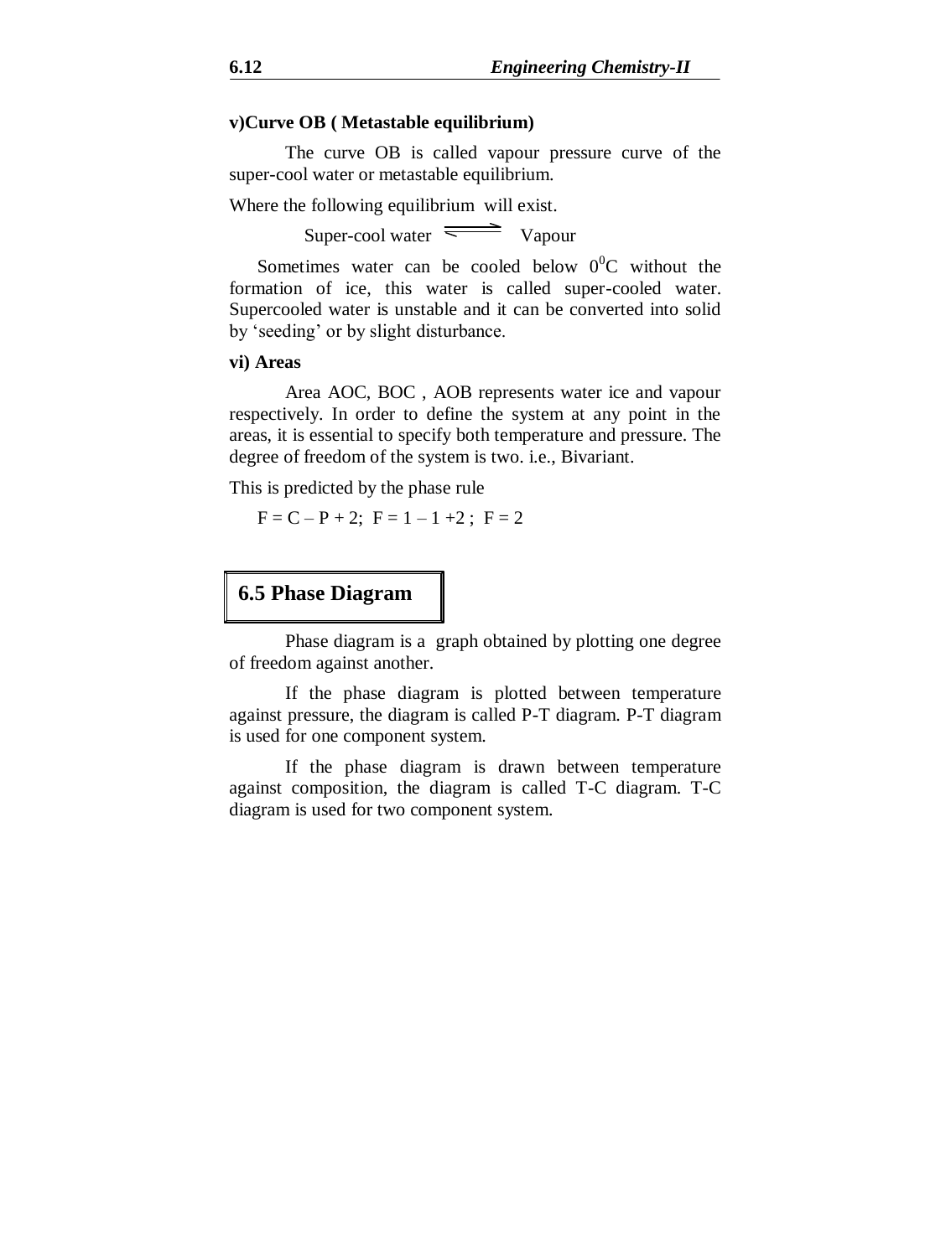### **v)Curve OB ( Metastable equilibrium)**

The curve OB is called vapour pressure curve of the super-cool water or metastable equilibrium.

Where the following equilibrium will exist.

Super-cool water  $\equiv$  Vapour

Sometimes water can be cooled below  $0^0C$  without the formation of ice, this water is called super-cooled water. Supercooled water is unstable and it can be converted into solid by 'seeding' or by slight disturbance.

#### **vi) Areas**

Area AOC, BOC , AOB represents water ice and vapour respectively. In order to define the system at any point in the areas, it is essential to specify both temperature and pressure. The degree of freedom of the system is two. i.e., Bivariant.

This is predicted by the phase rule

 $F = C - P + 2$ ;  $F = 1 - 1 + 2$ ;  $F = 2$ 

# **6.5 Phase Diagram**

Phase diagram is a graph obtained by plotting one degree of freedom against another.

If the phase diagram is plotted between temperature against pressure, the diagram is called P-T diagram. P-T diagram is used for one component system.

If the phase diagram is drawn between temperature against composition, the diagram is called T-C diagram. T-C diagram is used for two component system.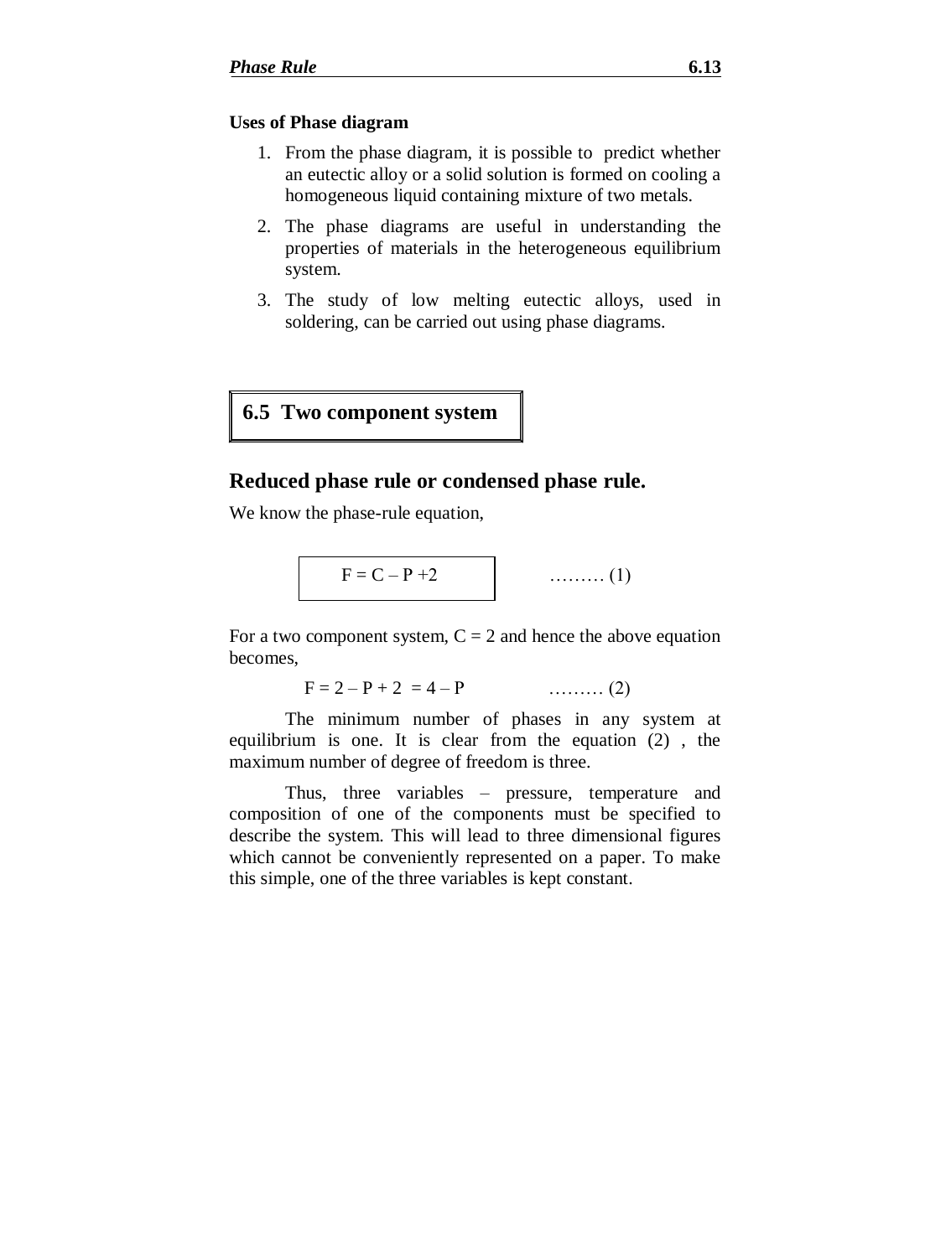### **Uses of Phase diagram**

- 1. From the phase diagram, it is possible to predict whether an eutectic alloy or a solid solution is formed on cooling a homogeneous liquid containing mixture of two metals.
- 2. The phase diagrams are useful in understanding the properties of materials in the heterogeneous equilibrium system.
- 3. The study of low melting eutectic alloys, used in soldering, can be carried out using phase diagrams.

# **6.5 Two component system**

### **Reduced phase rule or condensed phase rule.**

We know the phase-rule equation,

$$
F = C - P + 2 \qquad (1)
$$

For a two component system,  $C = 2$  and hence the above equation becomes,

 $F = 2 - P + 2 = 4 - P$  ……… (2)

The minimum number of phases in any system at equilibrium is one. It is clear from the equation (2) , the maximum number of degree of freedom is three.

Thus, three variables – pressure, temperature and composition of one of the components must be specified to describe the system. This will lead to three dimensional figures which cannot be conveniently represented on a paper. To make this simple, one of the three variables is kept constant.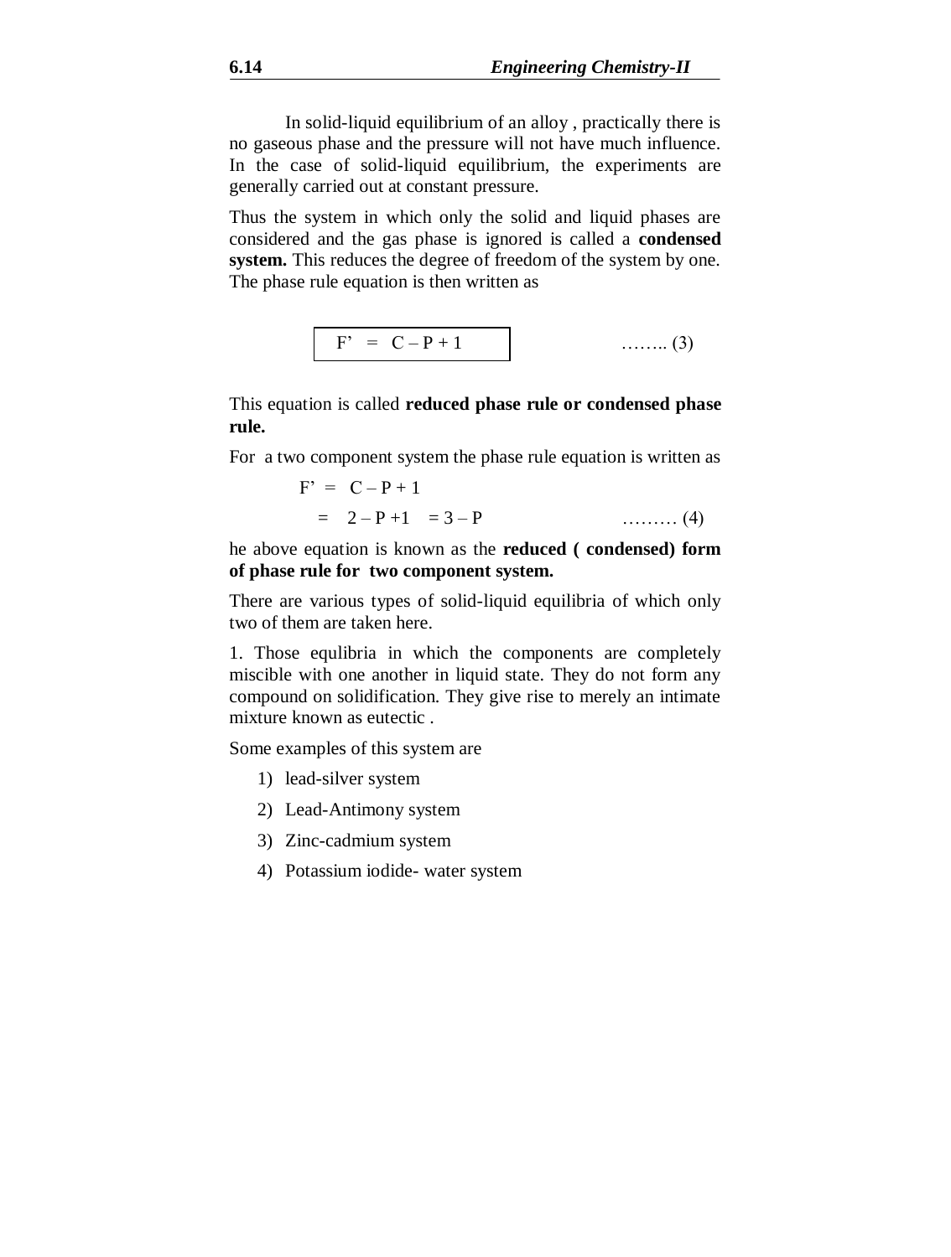In solid-liquid equilibrium of an alloy , practically there is no gaseous phase and the pressure will not have much influence. In the case of solid-liquid equilibrium, the experiments are generally carried out at constant pressure.

Thus the system in which only the solid and liquid phases are considered and the gas phase is ignored is called a **condensed system.** This reduces the degree of freedom of the system by one. The phase rule equation is then written as

$$
F' = C - P + 1
$$
 (3)

This equation is called **reduced phase rule or condensed phase rule.**

For a two component system the phase rule equation is written as

$$
F' = C - P + 1
$$
  
= 2 - P + 1 = 3 - P  
........(4)

he above equation is known as the **reduced ( condensed) form of phase rule for two component system.**

There are various types of solid-liquid equilibria of which only two of them are taken here.

1. Those equlibria in which the components are completely miscible with one another in liquid state. They do not form any compound on solidification. They give rise to merely an intimate mixture known as eutectic .

Some examples of this system are

- 1) lead-silver system
- 2) Lead-Antimony system
- 3) Zinc-cadmium system
- 4) Potassium iodide- water system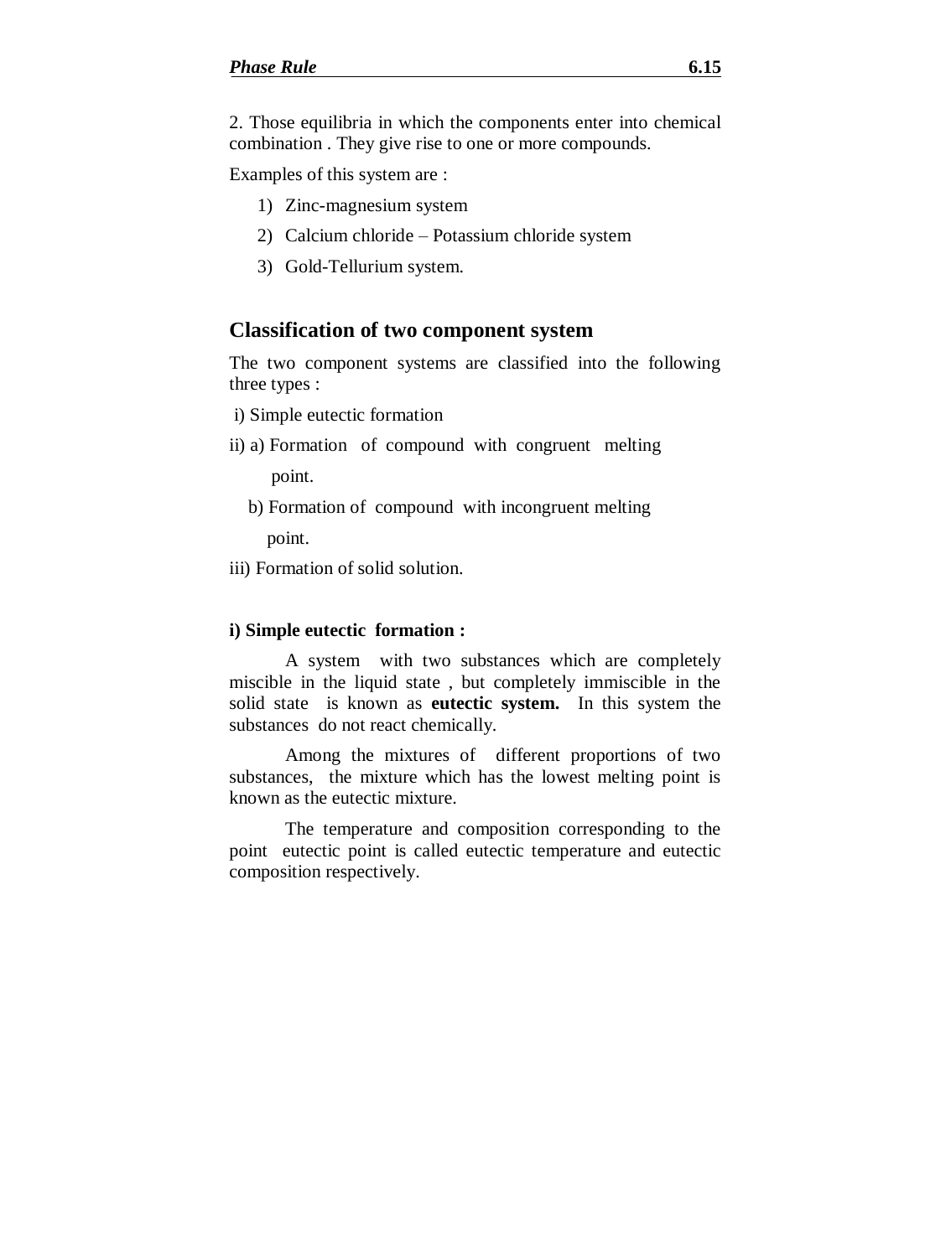2. Those equilibria in which the components enter into chemical combination . They give rise to one or more compounds.

Examples of this system are :

- 1) Zinc-magnesium system
- 2) Calcium chloride Potassium chloride system
- 3) Gold-Tellurium system.

### **Classification of two component system**

The two component systems are classified into the following three types :

- i) Simple eutectic formation
- ii) a) Formation of compound with congruent melting

point.

b) Formation of compound with incongruent melting

point.

iii) Formation of solid solution.

### **i) Simple eutectic formation :**

A system with two substances which are completely miscible in the liquid state , but completely immiscible in the solid state is known as **eutectic system.** In this system the substances do not react chemically.

Among the mixtures of different proportions of two substances, the mixture which has the lowest melting point is known as the eutectic mixture.

The temperature and composition corresponding to the point eutectic point is called eutectic temperature and eutectic composition respectively.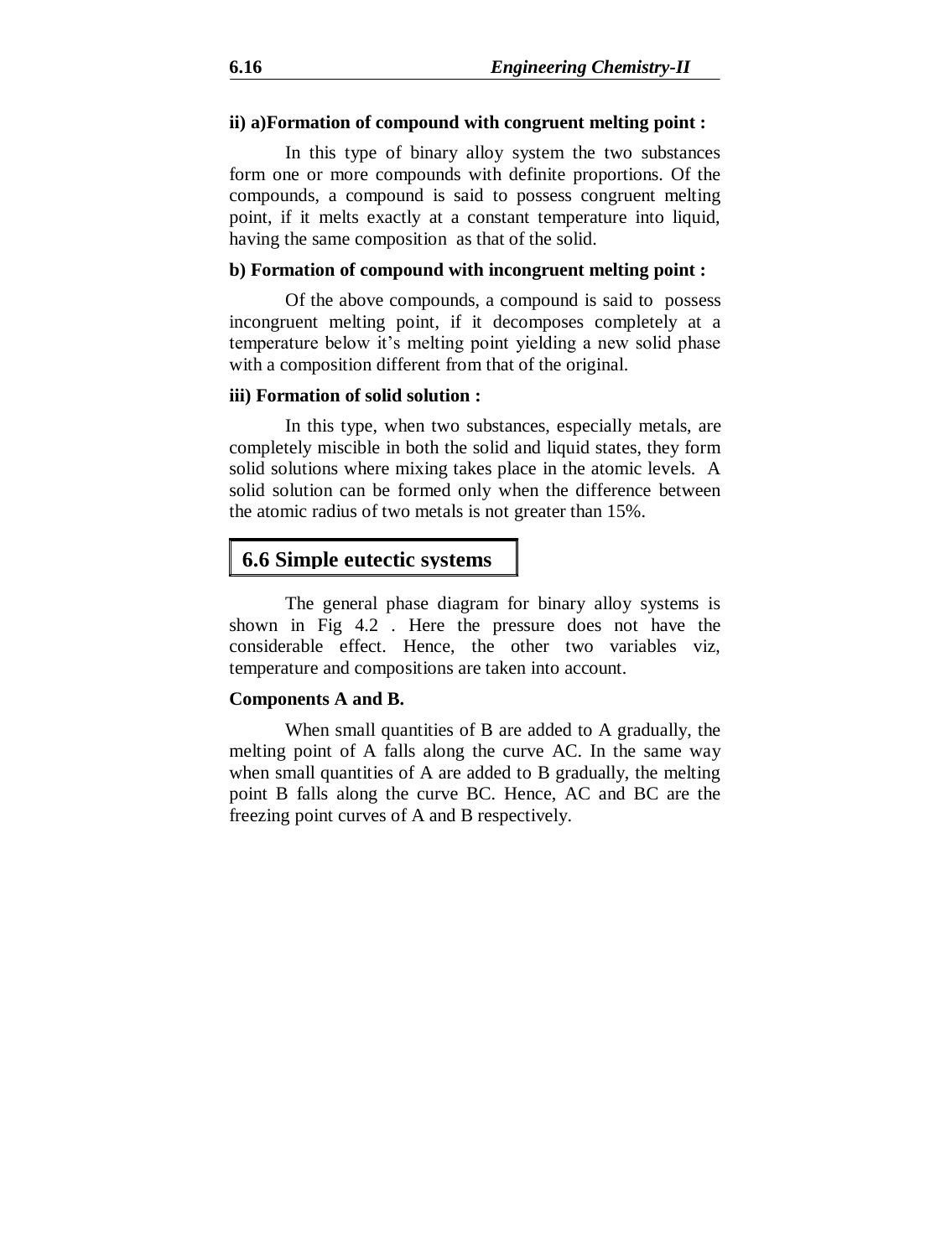### **ii) a)Formation of compound with congruent melting point :**

In this type of binary alloy system the two substances form one or more compounds with definite proportions. Of the compounds, a compound is said to possess congruent melting point, if it melts exactly at a constant temperature into liquid, having the same composition as that of the solid.

### **b) Formation of compound with incongruent melting point :**

Of the above compounds, a compound is said to possess incongruent melting point, if it decomposes completely at a temperature below it's melting point yielding a new solid phase with a composition different from that of the original.

### **iii) Formation of solid solution :**

In this type, when two substances, especially metals, are completely miscible in both the solid and liquid states, they form solid solutions where mixing takes place in the atomic levels. A solid solution can be formed only when the difference between the atomic radius of two metals is not greater than 15%.

# **6.6 Simple eutectic systems**

The general phase diagram for binary alloy systems is shown in Fig 4.2 . Here the pressure does not have the considerable effect. Hence, the other two variables viz, temperature and compositions are taken into account.

#### **Components A and B.**

When small quantities of B are added to A gradually, the melting point of A falls along the curve AC. In the same way when small quantities of A are added to B gradually, the melting point B falls along the curve BC. Hence, AC and BC are the freezing point curves of A and B respectively.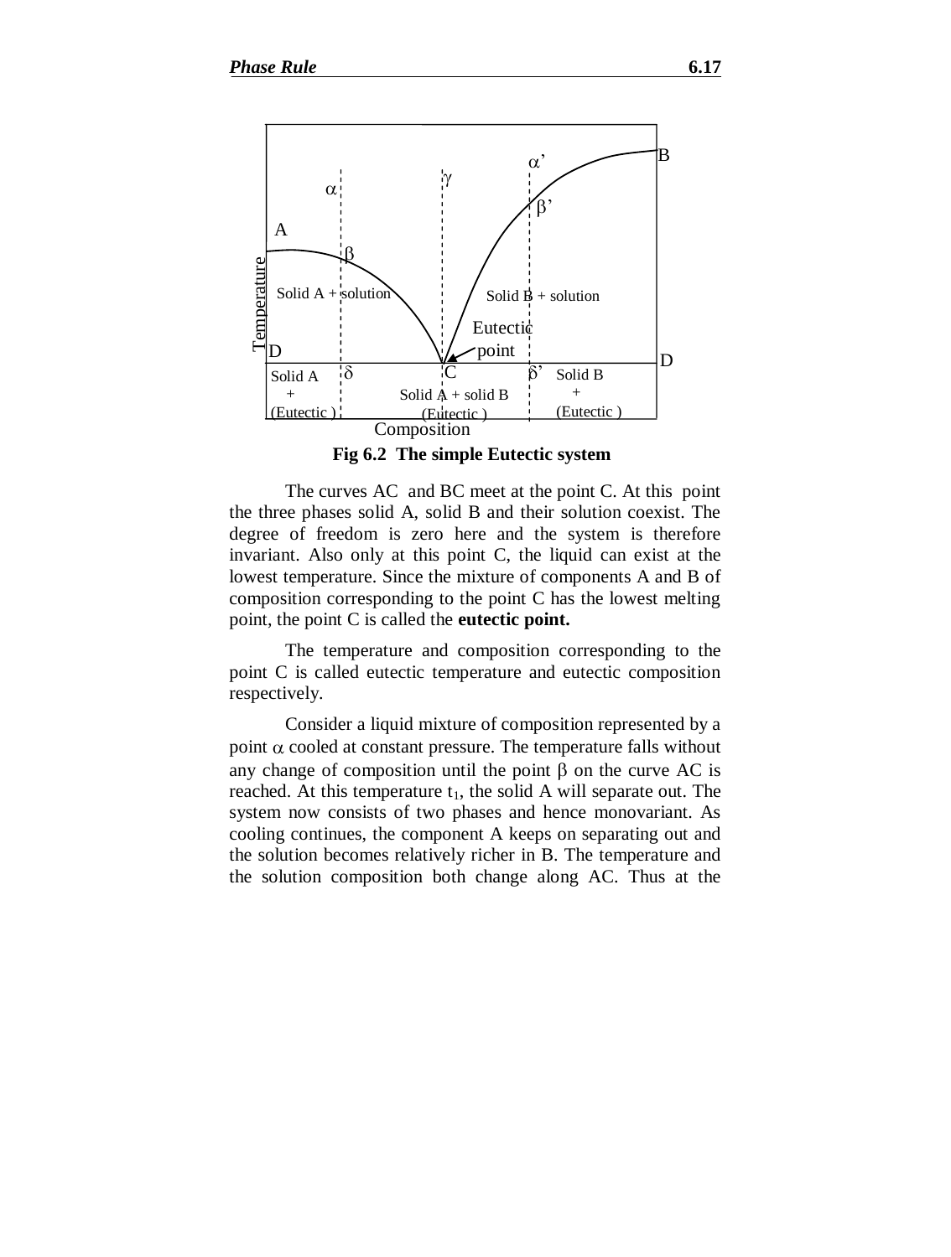

**Fig 6.2 The simple Eutectic system**

The curves AC and BC meet at the point C. At this point the three phases solid A, solid B and their solution coexist. The degree of freedom is zero here and the system is therefore invariant. Also only at this point C, the liquid can exist at the lowest temperature. Since the mixture of components A and B of composition corresponding to the point C has the lowest melting point, the point C is called the **eutectic point.**

The temperature and composition corresponding to the point C is called eutectic temperature and eutectic composition respectively.

Consider a liquid mixture of composition represented by a point  $\alpha$  cooled at constant pressure. The temperature falls without any change of composition until the point  $\beta$  on the curve AC is reached. At this temperature  $t_1$ , the solid A will separate out. The system now consists of two phases and hence monovariant. As cooling continues, the component A keeps on separating out and the solution becomes relatively richer in B. The temperature and the solution composition both change along AC. Thus at the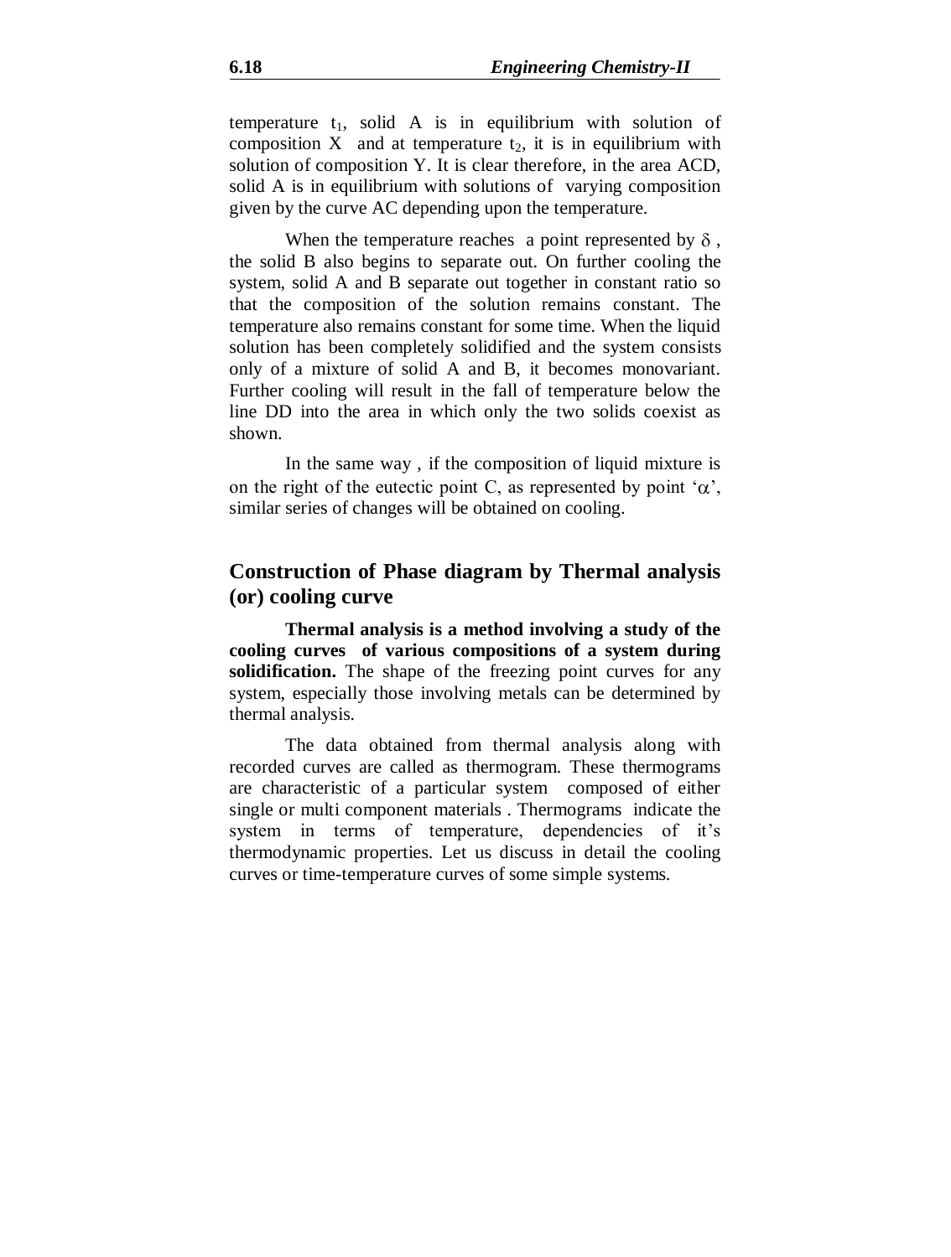temperature  $t_1$ , solid A is in equilibrium with solution of composition X and at temperature  $t_2$ , it is in equilibrium with solution of composition Y. It is clear therefore, in the area ACD, solid A is in equilibrium with solutions of varying composition given by the curve AC depending upon the temperature.

When the temperature reaches a point represented by  $\delta$ , the solid B also begins to separate out. On further cooling the system, solid A and B separate out together in constant ratio so that the composition of the solution remains constant. The temperature also remains constant for some time. When the liquid solution has been completely solidified and the system consists only of a mixture of solid A and B, it becomes monovariant. Further cooling will result in the fall of temperature below the line DD into the area in which only the two solids coexist as shown.

In the same way , if the composition of liquid mixture is on the right of the eutectic point C, as represented by point  $\alpha$ , similar series of changes will be obtained on cooling.

# **Construction of Phase diagram by Thermal analysis (or) cooling curve**

**Thermal analysis is a method involving a study of the cooling curves of various compositions of a system during**  solidification. The shape of the freezing point curves for any system, especially those involving metals can be determined by thermal analysis.

The data obtained from thermal analysis along with recorded curves are called as thermogram. These thermograms are characteristic of a particular system composed of either single or multi component materials . Thermograms indicate the system in terms of temperature, dependencies of it's thermodynamic properties. Let us discuss in detail the cooling curves or time-temperature curves of some simple systems.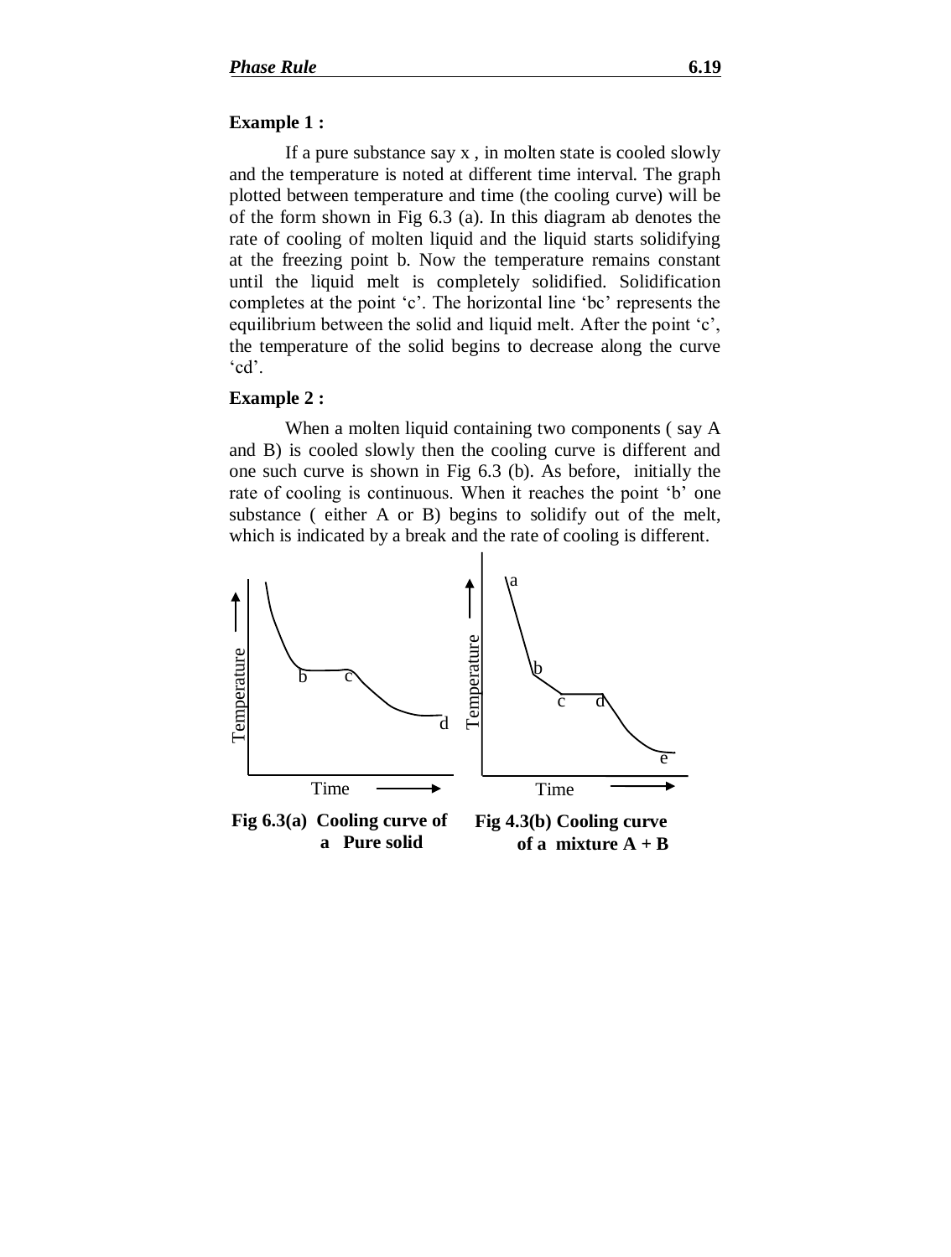### **Example 1 :**

If a pure substance say x , in molten state is cooled slowly and the temperature is noted at different time interval. The graph plotted between temperature and time (the cooling curve) will be of the form shown in Fig 6.3 (a). In this diagram ab denotes the rate of cooling of molten liquid and the liquid starts solidifying at the freezing point b. Now the temperature remains constant until the liquid melt is completely solidified. Solidification completes at the point 'c'. The horizontal line 'bc' represents the equilibrium between the solid and liquid melt. After the point 'c', the temperature of the solid begins to decrease along the curve 'cd'.

### **Example 2 :**

When a molten liquid containing two components ( say A and B) is cooled slowly then the cooling curve is different and one such curve is shown in Fig 6.3 (b). As before, initially the rate of cooling is continuous. When it reaches the point 'b' one substance ( either A or B) begins to solidify out of the melt, which is indicated by a break and the rate of cooling is different.

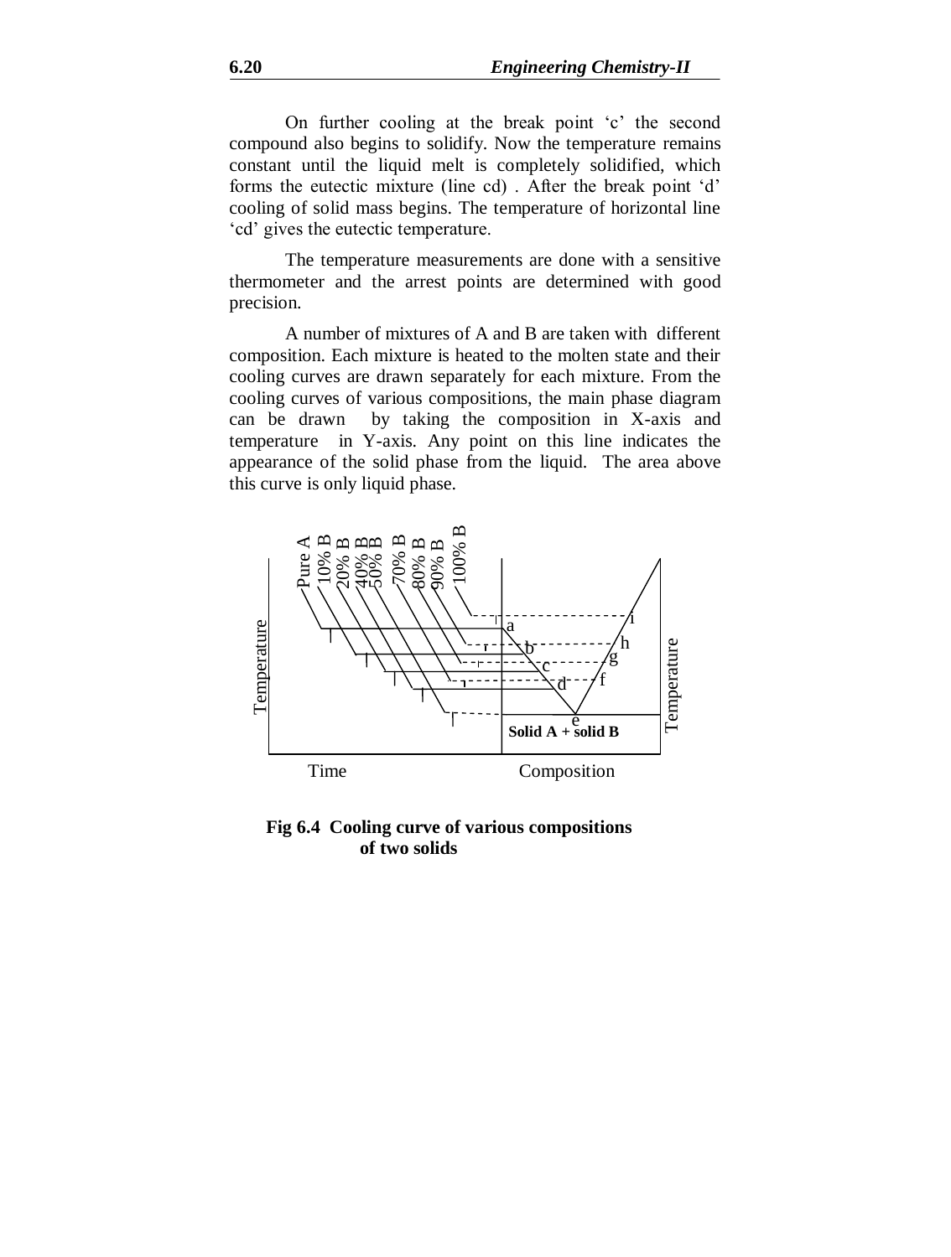On further cooling at the break point 'c' the second compound also begins to solidify. Now the temperature remains constant until the liquid melt is completely solidified, which forms the eutectic mixture (line cd) . After the break point 'd' cooling of solid mass begins. The temperature of horizontal line 'cd' gives the eutectic temperature.

The temperature measurements are done with a sensitive thermometer and the arrest points are determined with good precision.

A number of mixtures of A and B are taken with different composition. Each mixture is heated to the molten state and their cooling curves are drawn separately for each mixture. From the cooling curves of various compositions, the main phase diagram can be drawn by taking the composition in X-axis and temperature in Y-axis. Any point on this line indicates the appearance of the solid phase from the liquid. The area above this curve is only liquid phase.



**Fig 6.4 Cooling curve of various compositions of two solids**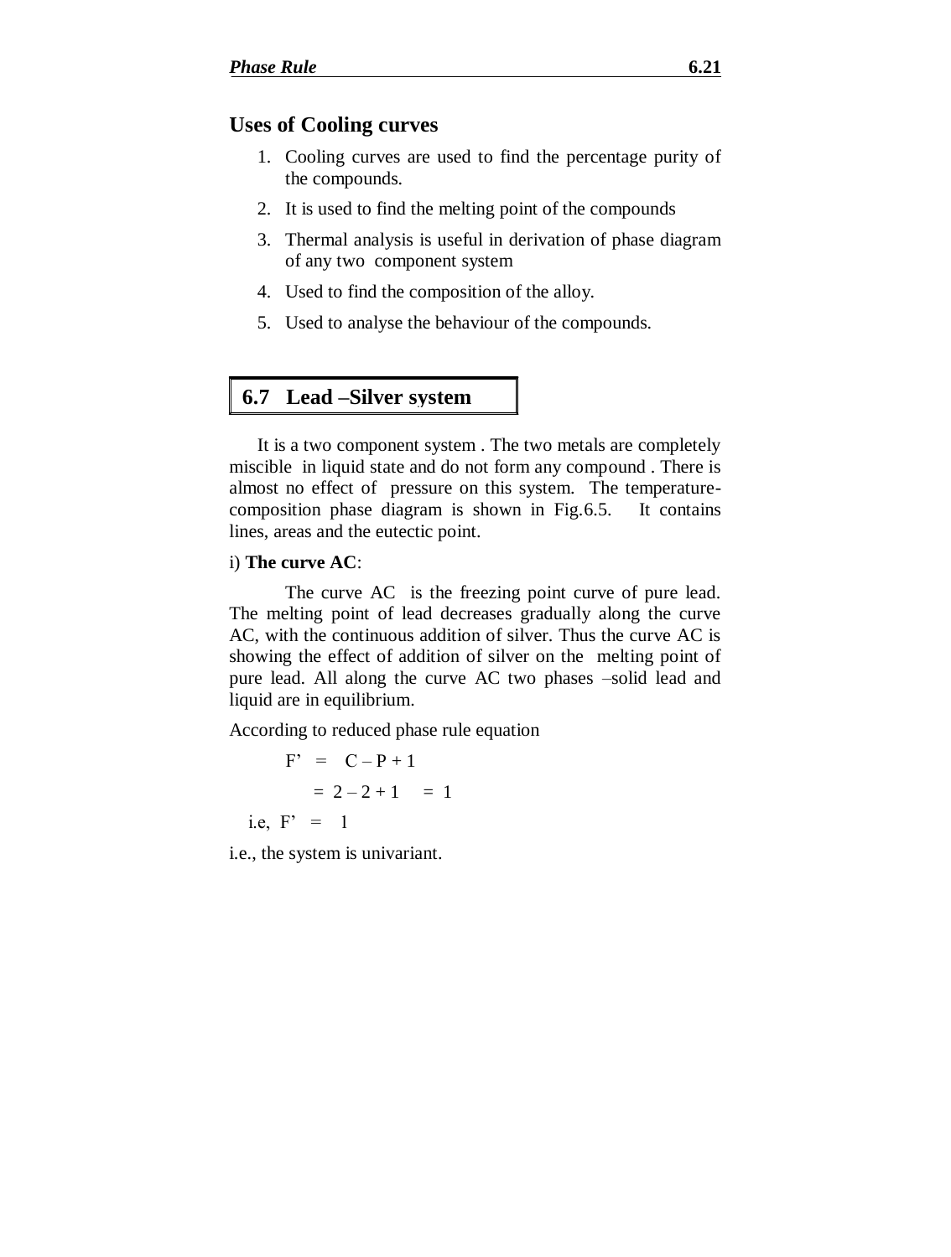# **Uses of Cooling curves**

- 1. Cooling curves are used to find the percentage purity of the compounds.
- 2. It is used to find the melting point of the compounds
- 3. Thermal analysis is useful in derivation of phase diagram of any two component system
- 4. Used to find the composition of the alloy.
- 5. Used to analyse the behaviour of the compounds.

# **6.7 Lead –Silver system**

It is a two component system . The two metals are completely miscible in liquid state and do not form any compound . There is almost no effect of pressure on this system. The temperaturecomposition phase diagram is shown in Fig.6.5. It contains lines, areas and the eutectic point.

### i) **The curve AC**:

The curve AC is the freezing point curve of pure lead. The melting point of lead decreases gradually along the curve AC, with the continuous addition of silver. Thus the curve AC is showing the effect of addition of silver on the melting point of pure lead. All along the curve AC two phases –solid lead and liquid are in equilibrium.

According to reduced phase rule equation

 $F' = C - P + 1$  $= 2 - 2 + 1 = 1$ i.e,  $F' = 1$ 

i.e., the system is univariant.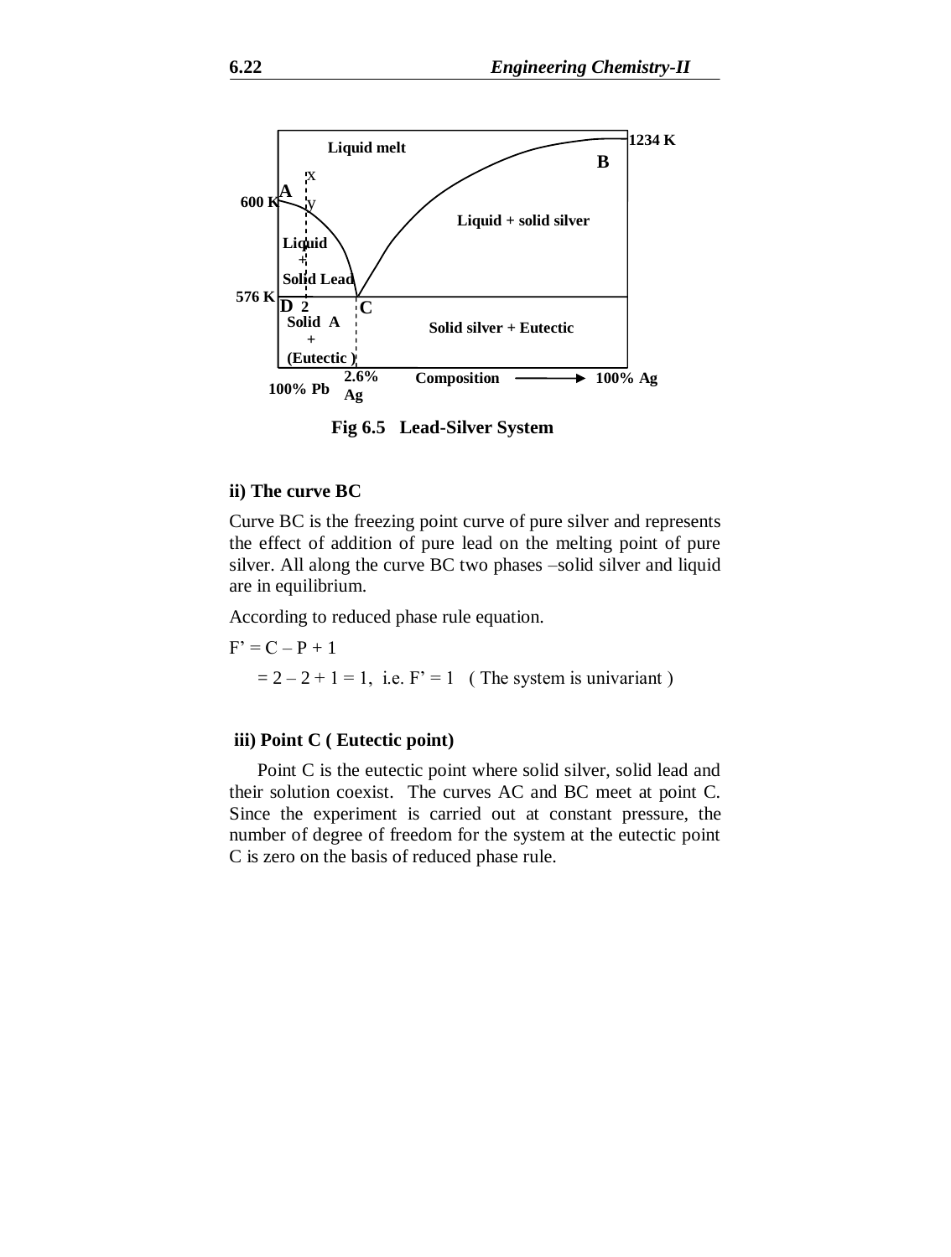

**Fig 6.5 Lead-Silver System**

### **ii) The curve BC**

Curve BC is the freezing point curve of pure silver and represents the effect of addition of pure lead on the melting point of pure silver. All along the curve BC two phases –solid silver and liquid are in equilibrium.

According to reduced phase rule equation.

 $F' = C - P + 1$  $= 2 - 2 + 1 = 1$ , i.e.  $F' = 1$  (The system is univariant)

#### **iii) Point C ( Eutectic point)**

Point C is the eutectic point where solid silver, solid lead and their solution coexist. The curves AC and BC meet at point C. Since the experiment is carried out at constant pressure, the number of degree of freedom for the system at the eutectic point C is zero on the basis of reduced phase rule.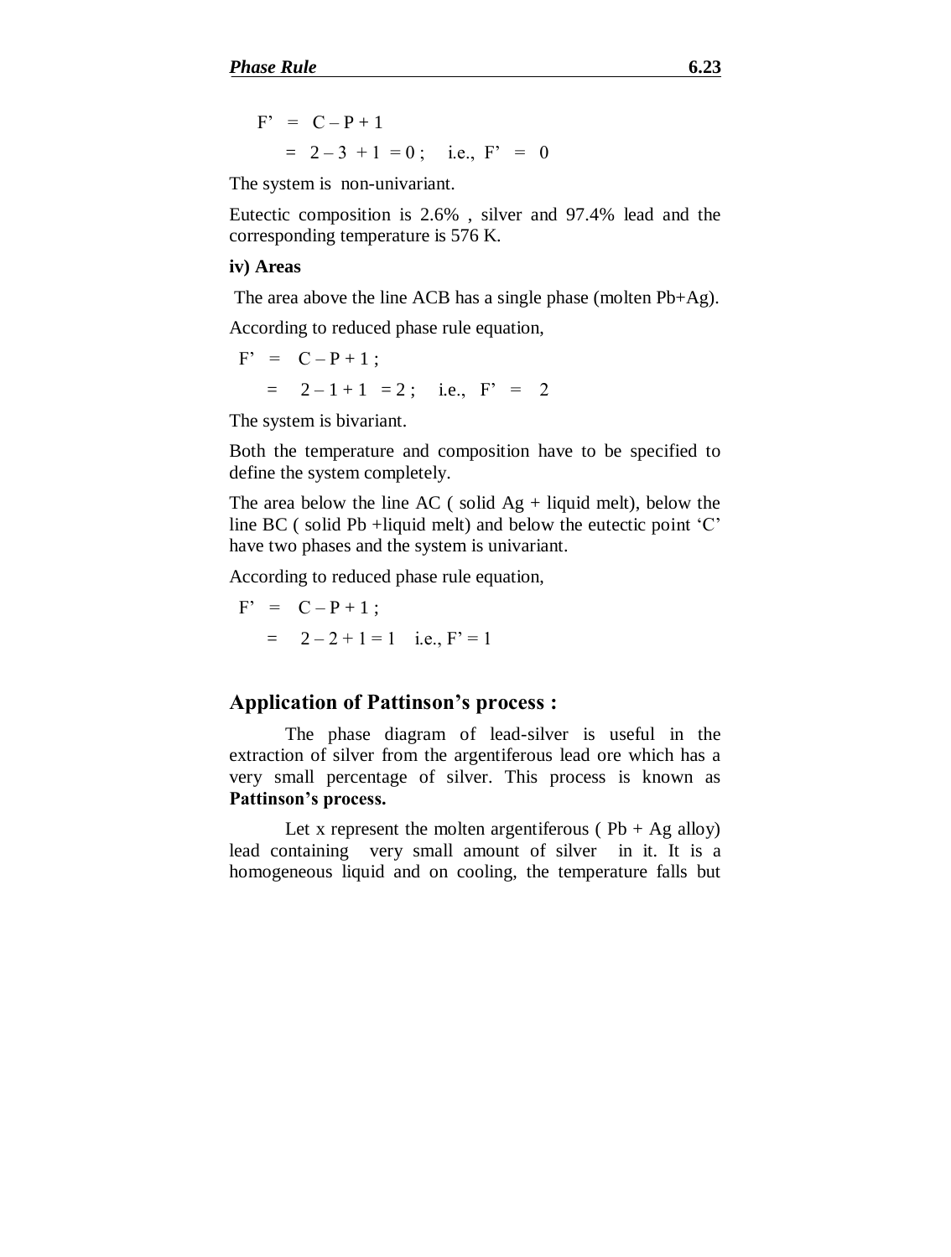$$
F' = C - P + 1
$$
  
= 2 - 3 + 1 = 0; i.e.,  $F' = 0$ 

The system is non-univariant.

Eutectic composition is 2.6% , silver and 97.4% lead and the corresponding temperature is 576 K.

#### **iv) Areas**

The area above the line ACB has a single phase (molten Pb+Ag).

According to reduced phase rule equation,

$$
F' = C - P + 1 ;
$$
  
= 2 - 1 + 1 = 2; i.e.,  $F' = 2$ 

The system is bivariant.

Both the temperature and composition have to be specified to define the system completely.

The area below the line AC ( solid  $Ag$  + liquid melt), below the line BC ( solid Pb +liquid melt) and below the eutectic point 'C' have two phases and the system is univariant.

According to reduced phase rule equation,

$$
F' = C - P + 1 ;
$$
  
= 2 - 2 + 1 = 1 i.e.,  $F' = 1$ 

## **Application of Pattinson's process :**

The phase diagram of lead-silver is useful in the extraction of silver from the argentiferous lead ore which has a very small percentage of silver. This process is known as **Pattinson's process.**

Let x represent the molten argentiferous ( $Pb + Ag$  alloy) lead containing very small amount of silver in it. It is a homogeneous liquid and on cooling, the temperature falls but